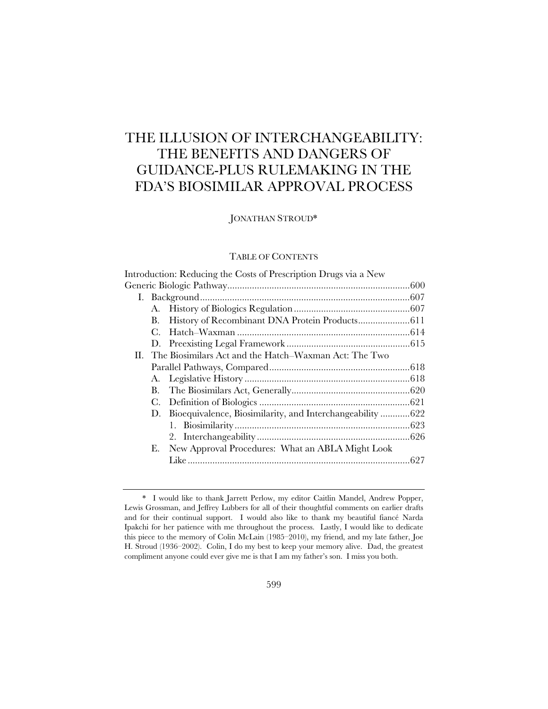# THE ILLUSION OF INTERCHANGEABILITY: THE BENEFITS AND DANGERS OF GUIDANCE-PLUS RULEMAKING IN THE FDA'S BIOSIMILAR APPROVAL PROCESS

JONATHAN STROUD\*

## TABLE OF CONTENTS

|  |    | Introduction: Reducing the Costs of Prescription Drugs via a New |  |  |
|--|----|------------------------------------------------------------------|--|--|
|  |    |                                                                  |  |  |
|  |    |                                                                  |  |  |
|  |    |                                                                  |  |  |
|  | В. |                                                                  |  |  |
|  | C. |                                                                  |  |  |
|  |    |                                                                  |  |  |
|  |    | II. The Biosimilars Act and the Hatch–Waxman Act: The Two        |  |  |
|  |    |                                                                  |  |  |
|  |    |                                                                  |  |  |
|  | В. |                                                                  |  |  |
|  | С. |                                                                  |  |  |
|  |    | D. Bioequivalence, Biosimilarity, and Interchangeability  622    |  |  |
|  |    |                                                                  |  |  |
|  |    |                                                                  |  |  |
|  | Е. | New Approval Procedures: What an ABLA Might Look                 |  |  |
|  |    |                                                                  |  |  |
|  |    |                                                                  |  |  |

<sup>\*</sup> I would like to thank Jarrett Perlow, my editor Caitlin Mandel, Andrew Popper, Lewis Grossman, and Jeffrey Lubbers for all of their thoughtful comments on earlier drafts and for their continual support. I would also like to thank my beautiful fiancé Narda Ipakchi for her patience with me throughout the process. Lastly, I would like to dedicate this piece to the memory of Colin McLain (1985–2010), my friend, and my late father, Joe H. Stroud (1936–2002). Colin, I do my best to keep your memory alive. Dad, the greatest compliment anyone could ever give me is that I am my father's son. I miss you both.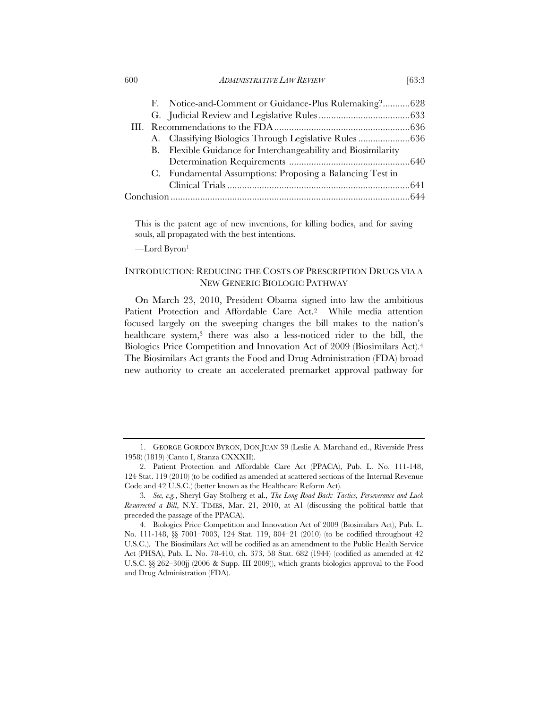|  |  | F. Notice-and-Comment or Guidance-Plus Rulemaking?628         |  |
|--|--|---------------------------------------------------------------|--|
|  |  |                                                               |  |
|  |  |                                                               |  |
|  |  | A. Classifying Biologics Through Legislative Rules  636       |  |
|  |  | B. Flexible Guidance for Interchangeability and Biosimilarity |  |
|  |  |                                                               |  |
|  |  | C. Fundamental Assumptions: Proposing a Balancing Test in     |  |
|  |  |                                                               |  |
|  |  |                                                               |  |
|  |  |                                                               |  |

This is the patent age of new inventions, for killing bodies, and for saving souls, all propagated with the best intentions.

—Lord Byron1

## INTRODUCTION: REDUCING THE COSTS OF PRESCRIPTION DRUGS VIA A NEW GENERIC BIOLOGIC PATHWAY

On March 23, 2010, President Obama signed into law the ambitious Patient Protection and Affordable Care Act.2 While media attention focused largely on the sweeping changes the bill makes to the nation's healthcare system,<sup>3</sup> there was also a less-noticed rider to the bill, the Biologics Price Competition and Innovation Act of 2009 (Biosimilars Act).4 The Biosimilars Act grants the Food and Drug Administration (FDA) broad new authority to create an accelerated premarket approval pathway for

<sup>1.</sup> GEORGE GORDON BYRON, DON JUAN 39 (Leslie A. Marchand ed., Riverside Press 1958) (1819) (Canto I, Stanza CXXXII).

<sup>2.</sup> Patient Protection and Affordable Care Act (PPACA), Pub. L. No. 111-148, 124 Stat. 119 (2010) (to be codified as amended at scattered sections of the Internal Revenue Code and 42 U.S.C.) (better known as the Healthcare Reform Act).

<sup>3</sup>*. See, e.g.*, Sheryl Gay Stolberg et al., *The Long Road Back: Tactics, Perseverance and Luck Resurrected a Bill*, N.Y. TIMES, Mar. 21, 2010, at A1 (discussing the political battle that preceded the passage of the PPACA).

<sup>4.</sup> Biologics Price Competition and Innovation Act of 2009 (Biosimilars Act), Pub. L. No. 111-148, §§ 7001–7003, 124 Stat. 119, 804–21 (2010) (to be codified throughout 42 U.S.C.). The Biosimilars Act will be codified as an amendment to the Public Health Service Act (PHSA), Pub. L. No. 78-410, ch. 373, 58 Stat. 682 (1944) (codified as amended at 42 U.S.C. §§ 262–300jj (2006 & Supp. III 2009)), which grants biologics approval to the Food and Drug Administration (FDA).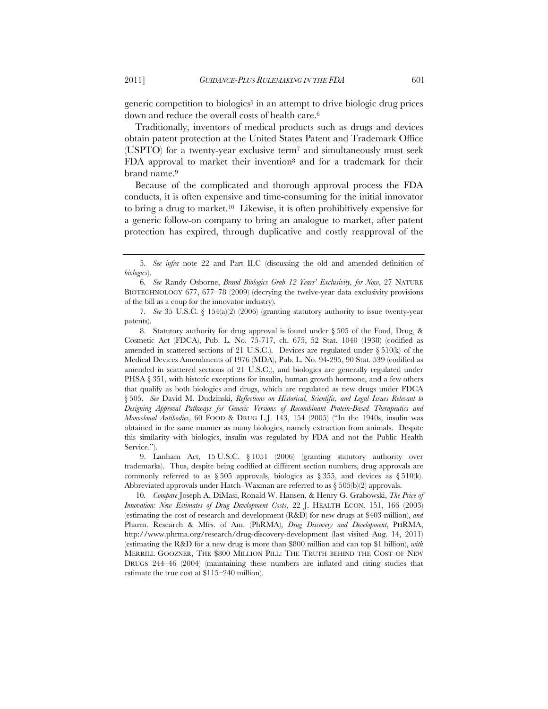generic competition to biologics<sup>5</sup> in an attempt to drive biologic drug prices down and reduce the overall costs of health care.<sup>6</sup>

Traditionally, inventors of medical products such as drugs and devices obtain patent protection at the United States Patent and Trademark Office (USPTO) for a twenty-year exclusive term7 and simultaneously must seek FDA approval to market their invention8 and for a trademark for their brand name.9

Because of the complicated and thorough approval process the FDA conducts, it is often expensive and time-consuming for the initial innovator to bring a drug to market.10 Likewise, it is often prohibitively expensive for a generic follow-on company to bring an analogue to market, after patent protection has expired, through duplicative and costly reapproval of the

<sup>5</sup>*. See infra* note 22 and Part II.C (discussing the old and amended definition of *biologics*).

<sup>6</sup>*. See* Randy Osborne, *Brand Biologics Grab 12 Years' Exclusivity, for Now*, 27 NATURE BIOTECHNOLOGY 677, 677–78 (2009) (decrying the twelve-year data exclusivity provisions of the bill as a coup for the innovator industry)*.* 

<sup>7</sup>*. See* 35 U.S.C. § 154(a)(2) (2006) (granting statutory authority to issue twenty-year patents).

<sup>8.</sup> Statutory authority for drug approval is found under § 505 of the Food, Drug, & Cosmetic Act (FDCA), Pub. L. No. 75-717, ch. 675, 52 Stat. 1040 (1938) (codified as amended in scattered sections of 21 U.S.C.). Devices are regulated under  $\S 510(k)$  of the Medical Devices Amendments of 1976 (MDA), Pub. L. No. 94-295, 90 Stat. 539 (codified as amended in scattered sections of 21 U.S.C.), and biologics are generally regulated under PHSA § 351, with historic exceptions for insulin, human growth hormone, and a few others that qualify as both biologics and drugs, which are regulated as new drugs under FDCA § 505. *See* David M. Dudzinski, *Reflections on Historical, Scientific, and Legal Issues Relevant to Designing Approval Pathways for Generic Versions of Recombinant Protein-Based Therapeutics and Monoclonal Antibodies*, 60 FOOD & DRUG L.J. 143, 154 (2005) ("In the 1940s, insulin was obtained in the same manner as many biologics, namely extraction from animals. Despite this similarity with biologics, insulin was regulated by FDA and not the Public Health Service.").

<sup>9.</sup> Lanham Act, 15 U.S.C. § 1051 (2006) (granting statutory authority over trademarks). Thus, despite being codified at different section numbers, drug approvals are commonly referred to as § 505 approvals, biologics as § 355, and devices as § 510(k). Abbreviated approvals under Hatch–Waxman are referred to as  $\S 505(b)(2)$  approvals.

<sup>10</sup>*. Compare* Joseph A. DiMasi, Ronald W. Hansen, & Henry G. Grabowski, *The Price of Innovation: New Estimates of Drug Development Costs*, 22 J. HEALTH ECON. 151, 166 (2003) (estimating the cost of research and development (R&D) for new drugs at \$403 million), *and*  Pharm. Research & Mfrs. of Am. (PhRMA), *Drug Discovery and Development*, PHRMA, http://www.phrma.org/research/drug-discovery-development (last visited Aug. 14, 2011) (estimating the R&D for a new drug is more than \$800 million and can top \$1 billion), *with*  MERRILL GOOZNER, THE \$800 MILLION PILL: THE TRUTH BEHIND THE COST OF NEW DRUGS 244–46 (2004) (maintaining these numbers are inflated and citing studies that estimate the true cost at \$115–240 million).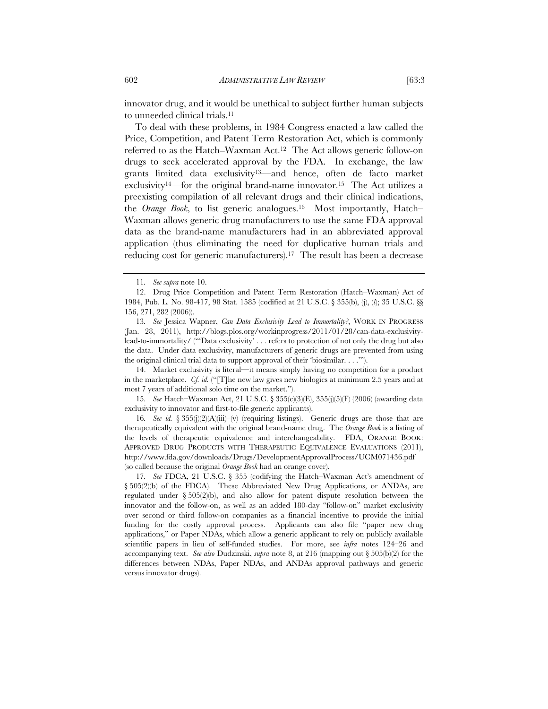innovator drug, and it would be unethical to subject further human subjects to unneeded clinical trials.11

To deal with these problems, in 1984 Congress enacted a law called the Price, Competition, and Patent Term Restoration Act, which is commonly referred to as the Hatch–Waxman Act.12 The Act allows generic follow-on drugs to seek accelerated approval by the FDA. In exchange, the law grants limited data exclusivity13—and hence, often de facto market exclusivity<sup>14—for</sup> the original brand-name innovator.<sup>15</sup> The Act utilizes a preexisting compilation of all relevant drugs and their clinical indications, the *Orange Book*, to list generic analogues.16 Most importantly, Hatch– Waxman allows generic drug manufacturers to use the same FDA approval data as the brand-name manufacturers had in an abbreviated approval application (thus eliminating the need for duplicative human trials and reducing cost for generic manufacturers).17 The result has been a decrease

13*. See* Jessica Wapner, *Can Data Exclusivity Lead to Immortality?*, WORK IN PROGRESS (Jan. 28, 2011), http://blogs.plos.org/workinprogress/2011/01/28/can-data-exclusivitylead-to-immortality/ ("'Data exclusivity' . . . refers to protection of not only the drug but also the data. Under data exclusivity, manufacturers of generic drugs are prevented from using the original clinical trial data to support approval of their 'biosimilar. . . .'").

14. Market exclusivity is literal—it means simply having no competition for a product in the marketplace. *Cf. id.* ("[T]he new law gives new biologics at minimum 2.5 years and at most 7 years of additional solo time on the market.").

15*. See* Hatch–Waxman Act, 21 U.S.C. § 355(c)(3)(E), 355(j)(5)(F) (2006) (awarding data exclusivity to innovator and first-to-file generic applicants).

16*. See id.* § 355(j(2)(A)(iii)–(v) (requiring listings). Generic drugs are those that are therapeutically equivalent with the original brand-name drug. The *Orange Book* is a listing of the levels of therapeutic equivalence and interchangeability. FDA, ORANGE BOOK: APPROVED DRUG PRODUCTS WITH THERAPEUTIC EQUIVALENCE EVALUATIONS (2011), http://www.fda.gov/downloads/Drugs/DevelopmentApprovalProcess/UCM071436.pdf (so called because the original *Orange Book* had an orange cover).

17*. See* FDCA, 21 U.S.C. § 355 (codifying the Hatch–Waxman Act's amendment of § 505(2)(b) of the FDCA). These Abbreviated New Drug Applications, or ANDAs, are regulated under  $\S 505(2)$ (b), and also allow for patent dispute resolution between the innovator and the follow-on, as well as an added 180-day "follow-on" market exclusivity over second or third follow-on companies as a financial incentive to provide the initial funding for the costly approval process. Applicants can also file "paper new drug applications," or Paper NDAs, which allow a generic applicant to rely on publicly available scientific papers in lieu of self-funded studies. For more, see *infra* notes 124–26 and accompanying text. *See also* Dudzinski, *supra* note 8, at 216 (mapping out § 505(b)(2) for the differences between NDAs, Paper NDAs, and ANDAs approval pathways and generic versus innovator drugs).

<sup>11</sup>*. See supra* note 10.

<sup>12.</sup> Drug Price Competition and Patent Term Restoration (Hatch–Waxman) Act of 1984, Pub. L. No. 98-417, 98 Stat. 1585 (codified at 21 U.S.C. § 355(b), (j), (*l*); 35 U.S.C. §§ 156, 271, 282 (2006)).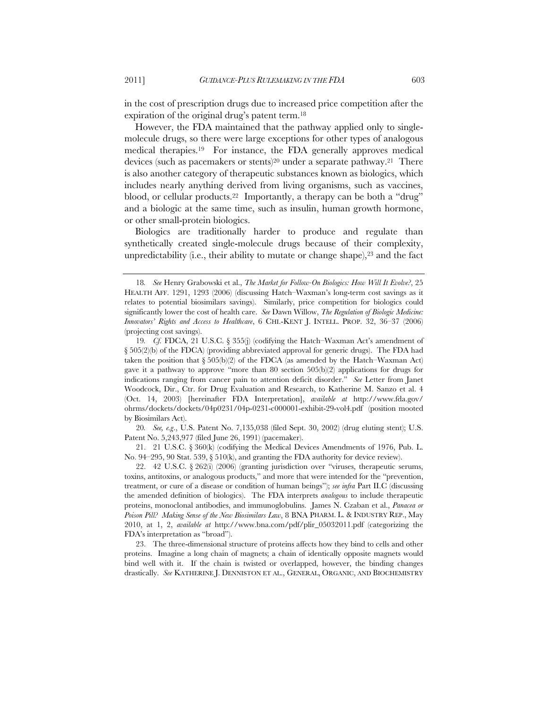in the cost of prescription drugs due to increased price competition after the expiration of the original drug's patent term.18

However, the FDA maintained that the pathway applied only to singlemolecule drugs, so there were large exceptions for other types of analogous medical therapies.19 For instance, the FDA generally approves medical devices (such as pacemakers or stents)<sup>20</sup> under a separate pathway.<sup>21</sup> There is also another category of therapeutic substances known as biologics, which includes nearly anything derived from living organisms, such as vaccines, blood, or cellular products.<sup>22</sup> Importantly, a therapy can be both a "drug" and a biologic at the same time, such as insulin, human growth hormone, or other small-protein biologics.

Biologics are traditionally harder to produce and regulate than synthetically created single-molecule drugs because of their complexity, unpredictability (i.e., their ability to mutate or change shape), $23$  and the fact

20*. See, e.g*., U.S. Patent No. 7,135,038 (filed Sept. 30, 2002) (drug eluting stent); U.S. Patent No. 5,243,977 (filed June 26, 1991) (pacemaker).

21. 21 U.S.C. § 360(k) (codifying the Medical Devices Amendments of 1976, Pub. L. No. 94–295, 90 Stat. 539, § 510(k), and granting the FDA authority for device review).

22. 42 U.S.C. § 262(i) (2006) (granting jurisdiction over "viruses, therapeutic serums, toxins, antitoxins, or analogous products," and more that were intended for the "prevention, treatment, or cure of a disease or condition of human beings"); *see infra* Part II.C (discussing the amended definition of biologics). The FDA interprets *analogous* to include therapeutic proteins, monoclonal antibodies, and immunoglobulins. James N. Czaban et al., *Panacea or Poison Pill? Making Sense of the New Biosimilars Law*, 8 BNA PHARM. L. & INDUSTRY REP., May 2010, at 1, 2, *available at* http://www.bna.com/pdf/plir\_05032011.pdf (categorizing the FDA's interpretation as "broad").

23. The three-dimensional structure of proteins affects how they bind to cells and other proteins. Imagine a long chain of magnets; a chain of identically opposite magnets would bind well with it. If the chain is twisted or overlapped, however, the binding changes drastically. *See* KATHERINE J. DENNISTON ET AL., GENERAL, ORGANIC, AND BIOCHEMISTRY

<sup>18</sup>*. See* Henry Grabowski et al., *The Market for Follow-On Biologics: How Will It Evolve?*, 25 HEALTH AFF. 1291, 1293 (2006) (discussing Hatch–Waxman's long-term cost savings as it relates to potential biosimilars savings). Similarly, price competition for biologics could significantly lower the cost of health care. *See* Dawn Willow, *The Regulation of Biologic Medicine: Innovators' Rights and Access to Healthcare*, 6 CHI.-KENT J. INTELL. PROP. 32, 36–37 (2006) (projecting cost savings).

<sup>19</sup>*. Cf.* FDCA, 21 U.S.C. § 355(j) (codifying the Hatch–Waxman Act's amendment of § 505(2)(b) of the FDCA) (providing abbreviated approval for generic drugs). The FDA had taken the position that  $\S 505(b)(2)$  of the FDCA (as amended by the Hatch–Waxman Act) gave it a pathway to approve "more than 80 section  $505(b)(2)$  applications for drugs for indications ranging from cancer pain to attention deficit disorder." *See* Letter from Janet Woodcock, Dir., Ctr. for Drug Evaluation and Research, to Katherine M. Sanzo et al. 4 (Oct. 14, 2003) [hereinafter FDA Interpretation], *available at* http://www.fda.gov/ ohrms/dockets/dockets/04p0231/04p-0231-c000001-exhibit-29-vol4.pdf (position mooted by Biosimilars Act).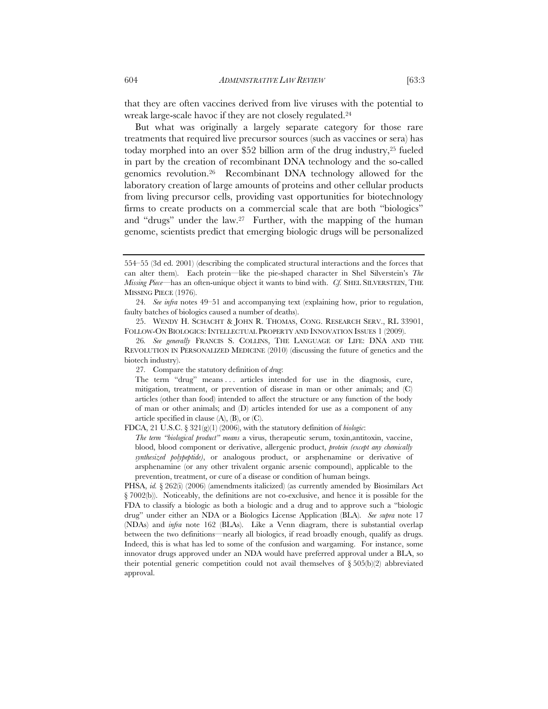that they are often vaccines derived from live viruses with the potential to wreak large-scale havoc if they are not closely regulated.24

But what was originally a largely separate category for those rare treatments that required live precursor sources (such as vaccines or sera) has today morphed into an over \$52 billion arm of the drug industry,25 fueled in part by the creation of recombinant DNA technology and the so-called genomics revolution.26 Recombinant DNA technology allowed for the laboratory creation of large amounts of proteins and other cellular products from living precursor cells, providing vast opportunities for biotechnology firms to create products on a commercial scale that are both "biologics" and "drugs" under the law.27 Further, with the mapping of the human genome, scientists predict that emerging biologic drugs will be personalized

FDCA, 21 U.S.C. § 321(g)(1) (2006), with the statutory definition of *biologic*:

*The term "biological product" means* a virus, therapeutic serum, toxin,antitoxin, vaccine, blood, blood component or derivative, allergenic product, *protein (except any chemically synthesized polypeptide)*, or analogous product, or arsphenamine or derivative of arsphenamine (or any other trivalent organic arsenic compound), applicable to the prevention, treatment, or cure of a disease or condition of human beings.

PHSA, *id.* § 262(i) (2006) (amendments italicized) (as currently amended by Biosimilars Act § 7002(b)). Noticeably, the definitions are not co-exclusive, and hence it is possible for the FDA to classify a biologic as both a biologic and a drug and to approve such a "biologic drug" under either an NDA or a Biologics License Application (BLA). *See supra* note 17 (NDAs) and *infra* note 162 (BLAs). Like a Venn diagram, there is substantial overlap between the two definitions—nearly all biologics, if read broadly enough, qualify as drugs. Indeed, this is what has led to some of the confusion and wargaming. For instance, some innovator drugs approved under an NDA would have preferred approval under a BLA, so their potential generic competition could not avail themselves of  $\S 505(b)(2)$  abbreviated approval.

<sup>554–55 (3</sup>d ed. 2001) (describing the complicated structural interactions and the forces that can alter them). Each protein—like the pie-shaped character in Shel Silverstein's *The Missing Piece*—has an often-unique object it wants to bind with. *Cf.* SHEL SILVERSTEIN, THE MISSING PIECE (1976).

<sup>24</sup>*. See infra* notes 49–51 and accompanying text (explaining how, prior to regulation, faulty batches of biologics caused a number of deaths).

<sup>25.</sup> WENDY H. SCHACHT & JOHN R. THOMAS, CONG. RESEARCH SERV., RL 33901, FOLLOW-ON BIOLOGICS: INTELLECTUAL PROPERTY AND INNOVATION ISSUES 1 (2009).

<sup>26</sup>*. See generally* FRANCIS S. COLLINS, THE LANGUAGE OF LIFE: DNA AND THE REVOLUTION IN PERSONALIZED MEDICINE (2010) (discussing the future of genetics and the biotech industry).

<sup>27</sup>*.* Compare the statutory definition of *drug*:

The term "drug" means . . . articles intended for use in the diagnosis, cure, mitigation, treatment, or prevention of disease in man or other animals; and (C) articles (other than food) intended to affect the structure or any function of the body of man or other animals; and (D) articles intended for use as a component of any article specified in clause  $(A)$ ,  $(B)$ , or  $(C)$ .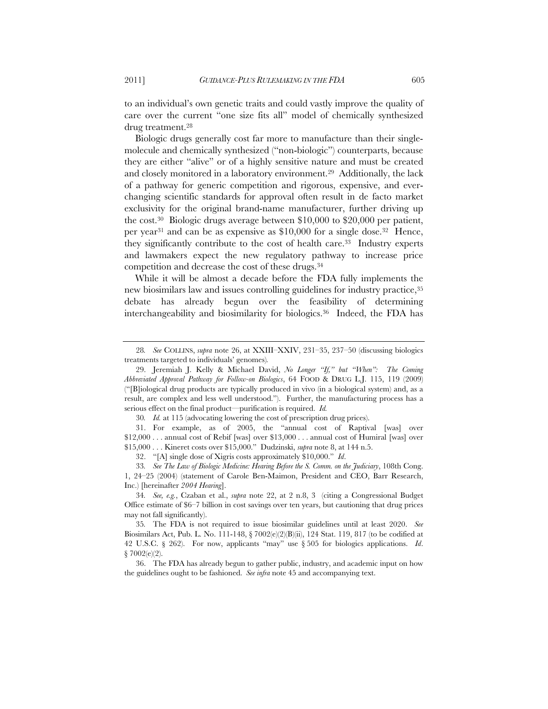to an individual's own genetic traits and could vastly improve the quality of care over the current "one size fits all" model of chemically synthesized drug treatment.28

Biologic drugs generally cost far more to manufacture than their singlemolecule and chemically synthesized ("non-biologic") counterparts, because they are either "alive" or of a highly sensitive nature and must be created and closely monitored in a laboratory environment.29 Additionally, the lack of a pathway for generic competition and rigorous, expensive, and everchanging scientific standards for approval often result in de facto market exclusivity for the original brand-name manufacturer, further driving up the cost.30 Biologic drugs average between \$10,000 to \$20,000 per patient, per year31 and can be as expensive as \$10,000 for a single dose.32 Hence, they significantly contribute to the cost of health care.33 Industry experts and lawmakers expect the new regulatory pathway to increase price competition and decrease the cost of these drugs.34

While it will be almost a decade before the FDA fully implements the new biosimilars law and issues controlling guidelines for industry practice, 35 debate has already begun over the feasibility of determining interchangeability and biosimilarity for biologics.36 Indeed, the FDA has

34*. See, e.g.*, Czaban et al., *supra* note 22, at 2 n.8, 3 (citing a Congressional Budget Office estimate of \$6–7 billion in cost savings over ten years, but cautioning that drug prices may not fall significantly).

35*.* The FDA is not required to issue biosimilar guidelines until at least 2020. *See* Biosimilars Act, Pub. L. No. 111-148,  $\S 7002(e)(2)(B)(ii)$ , 124 Stat. 119, 817 (to be codified at 42 U.S.C. § 262). For now, applicants "may" use § 505 for biologics applications. *Id*. § 7002(e)(2).

36. The FDA has already begun to gather public, industry, and academic input on how the guidelines ought to be fashioned. *See infra* note 45 and accompanying text.

<sup>28</sup>*. See* COLLINS, *supra* note 26, at XXIII–XXIV, 231–35, 237–50 (discussing biologics treatments targeted to individuals' genomes)*.*

<sup>29.</sup> Jeremiah J. Kelly & Michael David, *No Longer "If," but "When": The Coming Abbreviated Approval Pathway for Follow-on Biologics*, 64 FOOD & DRUG L.J. 115, 119 (2009) ("[B]iological drug products are typically produced in vivo (in a biological system) and, as a result, are complex and less well understood."). Further, the manufacturing process has a serious effect on the final product—purification is required. *Id.*

<sup>30</sup>*. Id.* at 115 (advocating lowering the cost of prescription drug prices).

<sup>31.</sup> For example, as of 2005, the "annual cost of Raptival [was] over \$12,000 . . . annual cost of Rebif [was] over \$13,000 . . . annual cost of Humiral [was] over \$15,000 . . . Kineret costs over \$15,000." Dudzinski, *supra* note 8, at 144 n.5.

<sup>32. &</sup>quot;[A] single dose of Xigris costs approximately \$10,000." *Id*.

<sup>33</sup>*. See The Law of Biologic Medicine: Hearing Before the S. Comm. on the Judiciary*, 108th Cong. 1, 24–25 (2004) (statement of Carole Ben-Maimon, President and CEO, Barr Research, Inc.) [hereinafter *2004 Hearing*].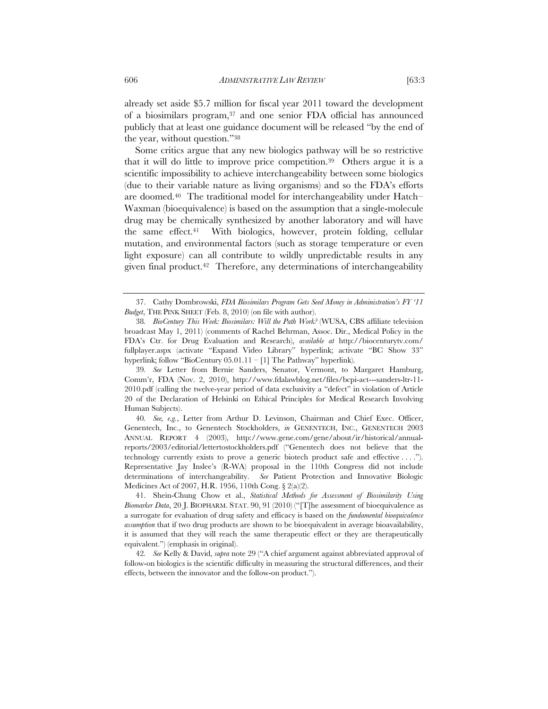already set aside \$5.7 million for fiscal year 2011 toward the development of a biosimilars program,37 and one senior FDA official has announced publicly that at least one guidance document will be released "by the end of the year, without question."38

Some critics argue that any new biologics pathway will be so restrictive that it will do little to improve price competition.39 Others argue it is a scientific impossibility to achieve interchangeability between some biologics (due to their variable nature as living organisms) and so the FDA's efforts are doomed.40 The traditional model for interchangeability under Hatch– Waxman (bioequivalence) is based on the assumption that a single-molecule drug may be chemically synthesized by another laboratory and will have the same effect.41 With biologics, however, protein folding, cellular mutation, and environmental factors (such as storage temperature or even light exposure) can all contribute to wildly unpredictable results in any given final product.42 Therefore, any determinations of interchangeability

40*. See, e.g.*, Letter from Arthur D. Levinson, Chairman and Chief Exec. Officer, Genentech, Inc., to Genentech Stockholders, *in* GENENTECH, INC., GENENTECH 2003 ANNUAL REPORT 4 (2003), http://www.gene.com/gene/about/ir/historical/annualreports/2003/editorial/lettertostockholders.pdf ("Genentech does not believe that the technology currently exists to prove a generic biotech product safe and effective . . . ."). Representative Jay Inslee's (R-WA) proposal in the 110th Congress did not include determinations of interchangeability. *See* Patient Protection and Innovative Biologic Medicines Act of 2007, H.R. 1956, 110th Cong. § 2(a)(2).

<sup>37.</sup> Cathy Dombrowski, *FDA Biosimilars Program Gets Seed Money in Administration's FY '11 Budget*, THE PINK SHEET (Feb. 8, 2010) (on file with author).

<sup>38</sup>*. BioCentury This Week: Biosimilars: Will the Path Work?* (WUSA, CBS affiliate television broadcast May 1, 2011) (comments of Rachel Behrman, Assoc. Dir., Medical Policy in the FDA's Ctr. for Drug Evaluation and Research), *available at* http://biocenturytv.com/ fullplayer.aspx (activate "Expand Video Library" hyperlink; activate "BC Show 33" hyperlink; follow "BioCentury 05.01.11 – [1] The Pathway" hyperlink).

<sup>39</sup>*. See* Letter from Bernie Sanders, Senator, Vermont, to Margaret Hamburg, Comm'r, FDA (Nov. 2, 2010), http://www.fdalawblog.net/files/bcpi-act---sanders-ltr-11- 2010.pdf (calling the twelve-year period of data exclusivity a "defect" in violation of Article 20 of the Declaration of Helsinki on Ethical Principles for Medical Research Involving Human Subjects).

<sup>41.</sup> Shein-Chung Chow et al., *Statistical Methods for Assessment of Biosimilarity Using Biomarker Data*, 20 J. BIOPHARM. STAT. 90, 91 (2010) ("[T]he assessment of bioequivalence as a surrogate for evaluation of drug safety and efficacy is based on the *fundamental bioequivalence assumption* that if two drug products are shown to be bioequivalent in average bioavailability, it is assumed that they will reach the same therapeutic effect or they are therapeutically equivalent.") (emphasis in original).

<sup>42</sup>*. See* Kelly & David, *supra* note 29 ("A chief argument against abbreviated approval of follow-on biologics is the scientific difficulty in measuring the structural differences, and their effects, between the innovator and the follow-on product.").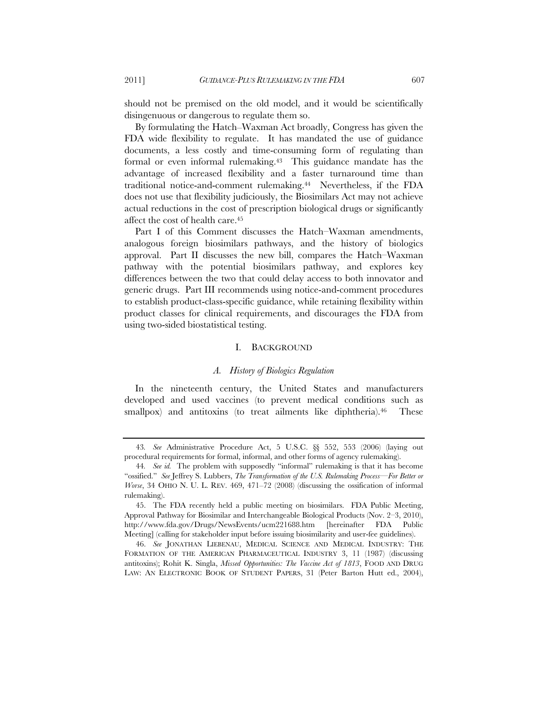should not be premised on the old model, and it would be scientifically disingenuous or dangerous to regulate them so.

By formulating the Hatch–Waxman Act broadly, Congress has given the FDA wide flexibility to regulate. It has mandated the use of guidance documents, a less costly and time-consuming form of regulating than formal or even informal rulemaking.43 This guidance mandate has the advantage of increased flexibility and a faster turnaround time than traditional notice-and-comment rulemaking.44 Nevertheless, if the FDA does not use that flexibility judiciously, the Biosimilars Act may not achieve actual reductions in the cost of prescription biological drugs or significantly affect the cost of health care.45

Part I of this Comment discusses the Hatch–Waxman amendments, analogous foreign biosimilars pathways, and the history of biologics approval. Part II discusses the new bill, compares the Hatch–Waxman pathway with the potential biosimilars pathway, and explores key differences between the two that could delay access to both innovator and generic drugs. Part III recommends using notice-and-comment procedures to establish product-class-specific guidance, while retaining flexibility within product classes for clinical requirements, and discourages the FDA from using two-sided biostatistical testing.

#### I. BACKGROUND

#### *A. History of Biologics Regulation*

In the nineteenth century, the United States and manufacturers developed and used vaccines (to prevent medical conditions such as smallpox) and antitoxins (to treat ailments like diphtheria).<sup>46</sup> These

<sup>43</sup>*. See* Administrative Procedure Act, 5 U.S.C. §§ 552, 553 (2006) (laying out procedural requirements for formal, informal, and other forms of agency rulemaking).

<sup>44</sup>*. See id.* The problem with supposedly "informal" rulemaking is that it has become "ossified." *See* Jeffrey S. Lubbers, *The Transformation of the U.S. Rulemaking Process—For Better or Worse*, 34 OHIO N. U. L. REV. 469, 471–72 (2008) (discussing the ossification of informal rulemaking).

<sup>45.</sup> The FDA recently held a public meeting on biosimilars. FDA Public Meeting, Approval Pathway for Biosimilar and Interchangeable Biological Products (Nov. 2–3, 2010), http://www.fda.gov/Drugs/NewsEvents/ucm221688.htm [hereinafter FDA Public Meeting] (calling for stakeholder input before issuing biosimilarity and user-fee guidelines).

<sup>46.</sup> *See* JONATHAN LIEBENAU, MEDICAL SCIENCE AND MEDICAL INDUSTRY: THE FORMATION OF THE AMERICAN PHARMACEUTICAL INDUSTRY 3, 11 (1987) (discussing antitoxins); Rohit K. Singla, *Missed Opportunities: The Vaccine Act of 1813*, FOOD AND DRUG LAW: AN ELECTRONIC BOOK OF STUDENT PAPERS, 31 (Peter Barton Hutt ed., 2004),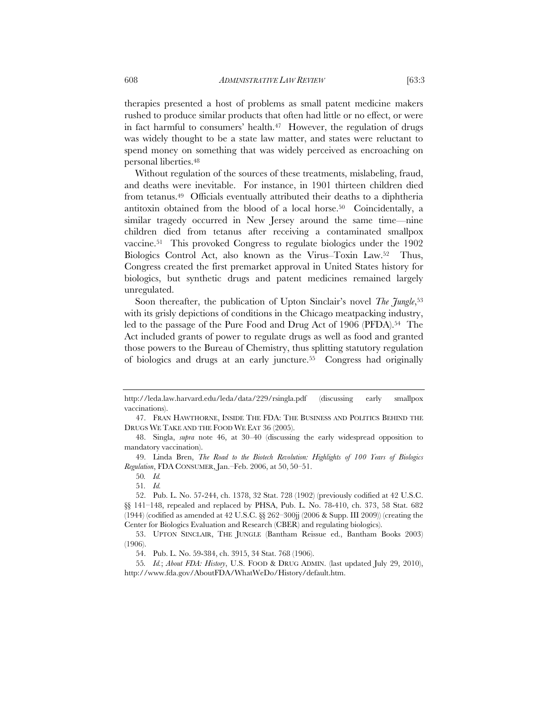therapies presented a host of problems as small patent medicine makers rushed to produce similar products that often had little or no effect, or were in fact harmful to consumers' health. $47$  However, the regulation of drugs was widely thought to be a state law matter, and states were reluctant to spend money on something that was widely perceived as encroaching on personal liberties.48

Without regulation of the sources of these treatments, mislabeling, fraud, and deaths were inevitable. For instance, in 1901 thirteen children died from tetanus.49 Officials eventually attributed their deaths to a diphtheria antitoxin obtained from the blood of a local horse.50 Coincidentally, a similar tragedy occurred in New Jersey around the same time—nine children died from tetanus after receiving a contaminated smallpox vaccine.51 This provoked Congress to regulate biologics under the 1902 Biologics Control Act, also known as the Virus–Toxin Law.52 Thus, Congress created the first premarket approval in United States history for biologics, but synthetic drugs and patent medicines remained largely unregulated.

Soon thereafter, the publication of Upton Sinclair's novel *The Jungle*,<sup>53</sup> with its grisly depictions of conditions in the Chicago meatpacking industry, led to the passage of the Pure Food and Drug Act of 1906 (PFDA).<sup>54</sup> The Act included grants of power to regulate drugs as well as food and granted those powers to the Bureau of Chemistry, thus splitting statutory regulation of biologics and drugs at an early juncture.55 Congress had originally

http://leda.law.harvard.edu/leda/data/229/rsingla.pdf (discussing early smallpox vaccinations).

<sup>47.</sup> FRAN HAWTHORNE, INSIDE THE FDA: THE BUSINESS AND POLITICS BEHIND THE DRUGS WE TAKE AND THE FOOD WE EAT 36 (2005).

<sup>48.</sup> Singla, *supra* note 46, at 30–40 (discussing the early widespread opposition to mandatory vaccination).

<sup>49.</sup> Linda Bren, *The Road to the Biotech Revolution: Highlights of 100 Years of Biologics Regulation*, FDA CONSUMER, Jan.–Feb. 2006, at 50, 50–51.

<sup>50</sup>*. Id.*

<sup>51</sup>*. Id.*

<sup>52.</sup> Pub. L. No. 57-244, ch. 1378, 32 Stat. 728 (1902) (previously codified at 42 U.S.C. §§ 141–148, repealed and replaced by PHSA, Pub. L. No. 78-410, ch. 373, 58 Stat. 682 (1944) (codified as amended at 42 U.S.C.  $\&$  262–300jj (2006  $&$  Supp. III 2009)) (creating the Center for Biologics Evaluation and Research (CBER) and regulating biologics).

<sup>53.</sup> UPTON SINCLAIR, THE JUNGLE (Bantham Reissue ed., Bantham Books 2003) (1906).

<sup>54.</sup> Pub. L. No. 59-384, ch. 3915, 34 Stat. 768 (1906).

<sup>55</sup>*. Id.*; *About FDA: History*, U.S. FOOD & DRUG ADMIN. (last updated July 29, 2010), http://www.fda.gov/AboutFDA/WhatWeDo/History/default.htm.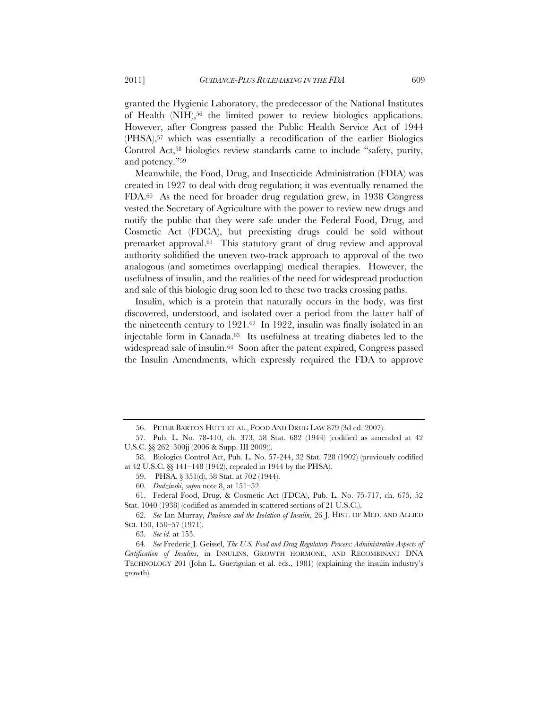granted the Hygienic Laboratory, the predecessor of the National Institutes of Health (NIH),<sup>56</sup> the limited power to review biologics applications. However, after Congress passed the Public Health Service Act of 1944 (PHSA),57 which was essentially a recodification of the earlier Biologics Control Act,<sup>58</sup> biologics review standards came to include "safety, purity, and potency."59

Meanwhile, the Food, Drug, and Insecticide Administration (FDIA) was created in 1927 to deal with drug regulation; it was eventually renamed the FDA.60 As the need for broader drug regulation grew, in 1938 Congress vested the Secretary of Agriculture with the power to review new drugs and notify the public that they were safe under the Federal Food, Drug, and Cosmetic Act (FDCA), but preexisting drugs could be sold without premarket approval.61 This statutory grant of drug review and approval authority solidified the uneven two-track approach to approval of the two analogous (and sometimes overlapping) medical therapies. However, the usefulness of insulin, and the realities of the need for widespread production and sale of this biologic drug soon led to these two tracks crossing paths.

Insulin, which is a protein that naturally occurs in the body, was first discovered, understood, and isolated over a period from the latter half of the nineteenth century to 1921.62 In 1922, insulin was finally isolated in an injectable form in Canada.63 Its usefulness at treating diabetes led to the widespread sale of insulin.<sup>64</sup> Soon after the patent expired, Congress passed the Insulin Amendments, which expressly required the FDA to approve

<sup>56.</sup> PETER BARTON HUTT ET AL., FOOD AND DRUG LAW 879 (3d ed. 2007).

<sup>57.</sup> Pub. L. No. 78-410, ch. 373, 58 Stat. 682 (1944) (codified as amended at 42 U.S.C. §§ 262–300jj (2006 & Supp. III 2009)).

<sup>58.</sup> Biologics Control Act, Pub*.* L*.* No. 57-244, 32 Stat. 728 (1902) (previously codified at 42 U.S.C. §§ 141–148 (1942), repealed in 1944 by the PHSA).

<sup>59.</sup> PHSA, § 351(d), 58 Stat. at 702 (1944).

<sup>60</sup>*. Dudzinski*, *supra* note 8, at 151–52.

<sup>61.</sup> Federal Food, Drug, & Cosmetic Act (FDCA), Pub. L. No. 75-717, ch. 675, 52 Stat. 1040 (1938) (codified as amended in scattered sections of 21 U.S.C.).

<sup>62</sup>*. See* Ian Murray, *Paulesco and the Isolation of Insulin*, 26 J. HIST. OF MED. AND ALLIED SCI. 150, 150–57 (1971).

<sup>63</sup>*. See id*. at 153.

<sup>64</sup>*. See* Frederic J. Geissel, *The U.S. Food and Drug Regulatory Process*: *Administrative Aspects of Certification of Insulins*, in INSULINS, GROWTH HORMONE, AND RECOMBINANT DNA TECHNOLOGY 201 (John L. Gueriguian et al. eds., 1981) (explaining the insulin industry's growth).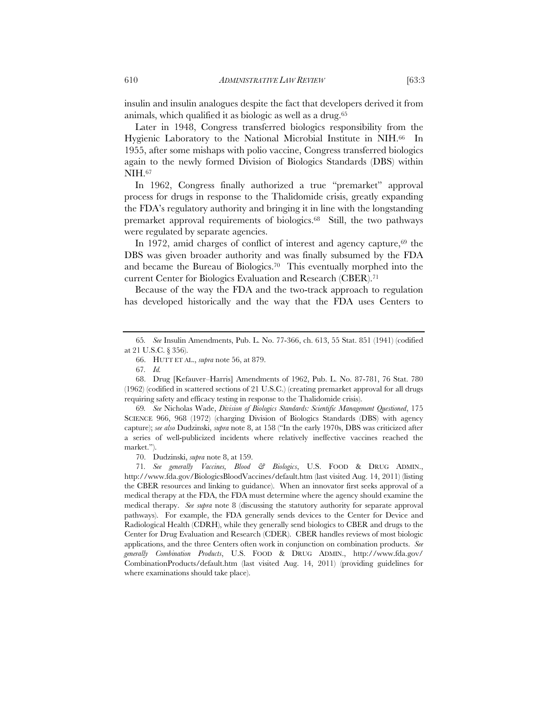insulin and insulin analogues despite the fact that developers derived it from animals, which qualified it as biologic as well as a drug.65

Later in 1948, Congress transferred biologics responsibility from the Hygienic Laboratory to the National Microbial Institute in NIH.66 In 1955, after some mishaps with polio vaccine, Congress transferred biologics again to the newly formed Division of Biologics Standards (DBS) within NIH.67

In 1962, Congress finally authorized a true "premarket" approval process for drugs in response to the Thalidomide crisis, greatly expanding the FDA's regulatory authority and bringing it in line with the longstanding premarket approval requirements of biologics.68 Still, the two pathways were regulated by separate agencies.

In 1972, amid charges of conflict of interest and agency capture,  $69$  the DBS was given broader authority and was finally subsumed by the FDA and became the Bureau of Biologics.70 This eventually morphed into the current Center for Biologics Evaluation and Research (CBER).71

Because of the way the FDA and the two-track approach to regulation has developed historically and the way that the FDA uses Centers to

69*. See* Nicholas Wade, *Division of Biologics Standards: Scientific Management Questioned*, 175 SCIENCE 966, 968 (1972) (charging Division of Biologics Standards (DBS) with agency capture); *see also* Dudzinski, *supra* note 8, at 158 ("In the early 1970s, DBS was criticized after a series of well-publicized incidents where relatively ineffective vaccines reached the market.").

70. Dudzinski, *supra* note 8, at 159.

71*. See generally Vaccines, Blood & Biologics*, U.S. FOOD & DRUG ADMIN., http://www.fda.gov/BiologicsBloodVaccines/default.htm (last visited Aug. 14, 2011) (listing the CBER resources and linking to guidance). When an innovator first seeks approval of a medical therapy at the FDA, the FDA must determine where the agency should examine the medical therapy. *See supra* note 8 (discussing the statutory authority for separate approval pathways). For example, the FDA generally sends devices to the Center for Device and Radiological Health (CDRH), while they generally send biologics to CBER and drugs to the Center for Drug Evaluation and Research (CDER). CBER handles reviews of most biologic applications, and the three Centers often work in conjunction on combination products. *See generally Combination Products*, U.S. FOOD & DRUG ADMIN., http://www.fda.gov/ CombinationProducts/default.htm (last visited Aug. 14, 2011) (providing guidelines for where examinations should take place).

<sup>65</sup>*. See* Insulin Amendments, Pub. L. No. 77-366, ch. 613, 55 Stat. 851 (1941) (codified at 21 U.S.C. § 356).

<sup>66.</sup> HUTT ET AL., *supra* note 56, at 879.

<sup>67</sup>*. Id.*

<sup>68.</sup> Drug [Kefauver–Harris] Amendments of 1962, Pub. L. No. 87-781, 76 Stat. 780 (1962) (codified in scattered sections of 21 U.S.C.) (creating premarket approval for all drugs requiring safety and efficacy testing in response to the Thalidomide crisis).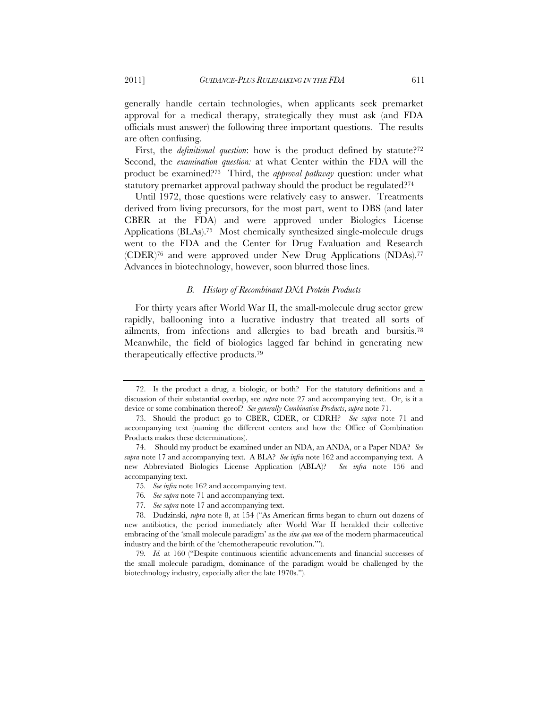generally handle certain technologies, when applicants seek premarket approval for a medical therapy, strategically they must ask (and FDA officials must answer) the following three important questions. The results are often confusing.

First, the *definitional question*: how is the product defined by statute?<sup>72</sup> Second, the *examination question:* at what Center within the FDA will the product be examined?73 Third, the *approval pathway* question: under what statutory premarket approval pathway should the product be regulated?74

Until 1972, those questions were relatively easy to answer. Treatments derived from living precursors, for the most part, went to DBS (and later CBER at the FDA) and were approved under Biologics License Applications (BLAs).75 Most chemically synthesized single-molecule drugs went to the FDA and the Center for Drug Evaluation and Research (CDER)76 and were approved under New Drug Applications (NDAs).77 Advances in biotechnology, however, soon blurred those lines.

### *B. History of Recombinant DNA Protein Products*

For thirty years after World War II, the small-molecule drug sector grew rapidly, ballooning into a lucrative industry that treated all sorts of ailments, from infections and allergies to bad breath and bursitis.78 Meanwhile, the field of biologics lagged far behind in generating new therapeutically effective products.79

<sup>72.</sup> Is the product a drug, a biologic, or both? For the statutory definitions and a discussion of their substantial overlap, see *supra* note 27 and accompanying text. Or, is it a device or some combination thereof? *See generally Combination Products*, *supra* note 71.

<sup>73.</sup> Should the product go to CBER, CDER, or CDRH? *See supra* note 71 and accompanying text (naming the different centers and how the Office of Combination Products makes these determinations).

<sup>74.</sup> Should my product be examined under an NDA, an ANDA, or a Paper NDA? *See supra* note 17 and accompanying text. A BLA? *See infra* note 162 and accompanying text. A new Abbreviated Biologics License Application (ABLA)? *See infra* note 156 and accompanying text.

<sup>75</sup>*. See infra* note 162 and accompanying text.

<sup>76</sup>*. See supra* note 71 and accompanying text.

<sup>77</sup>*. See supra* note 17 and accompanying text.

<sup>78.</sup> Dudzinski, *supra* note 8, at 154 ("As American firms began to churn out dozens of new antibiotics, the period immediately after World War II heralded their collective embracing of the 'small molecule paradigm' as the *sine qua non* of the modern pharmaceutical industry and the birth of the 'chemotherapeutic revolution.'").

<sup>79</sup>*. Id.* at 160 ("Despite continuous scientific advancements and financial successes of the small molecule paradigm, dominance of the paradigm would be challenged by the biotechnology industry, especially after the late 1970s.").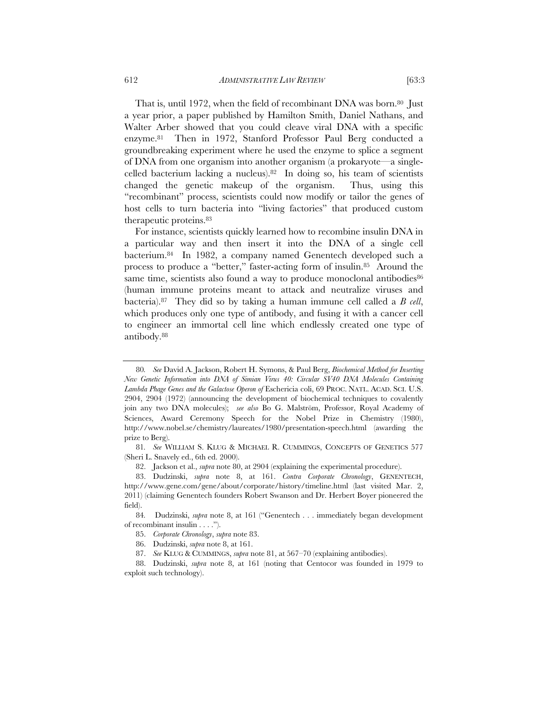That is, until 1972, when the field of recombinant DNA was born.<sup>80</sup> Just a year prior, a paper published by Hamilton Smith, Daniel Nathans, and Walter Arber showed that you could cleave viral DNA with a specific enzyme.81 Then in 1972, Stanford Professor Paul Berg conducted a groundbreaking experiment where he used the enzyme to splice a segment of DNA from one organism into another organism (a prokaryote—a singlecelled bacterium lacking a nucleus).82 In doing so, his team of scientists changed the genetic makeup of the organism. Thus, using this "recombinant" process, scientists could now modify or tailor the genes of host cells to turn bacteria into "living factories" that produced custom therapeutic proteins.83

For instance, scientists quickly learned how to recombine insulin DNA in a particular way and then insert it into the DNA of a single cell bacterium.84 In 1982, a company named Genentech developed such a process to produce a "better," faster-acting form of insulin.85 Around the same time, scientists also found a way to produce monoclonal antibodies<sup>86</sup> (human immune proteins meant to attack and neutralize viruses and bacteria).87 They did so by taking a human immune cell called a *B cell*, which produces only one type of antibody, and fusing it with a cancer cell to engineer an immortal cell line which endlessly created one type of antibody.88

<sup>80</sup>*. See* David A. Jackson, Robert H. Symons, & Paul Berg, *Biochemical Method for Inserting New Genetic Information into DNA of Simian Virus 40: Circular SV40 DNA Molecules Containing*  Lambda Phage Genes and the Galactose Operon of Eschericia coli, 69 PROC. NATL. ACAD. SCI. U.S. 2904, 2904 (1972) (announcing the development of biochemical techniques to covalently join any two DNA molecules); *see also* Bo G. Malström, Professor, Royal Academy of Sciences, Award Ceremony Speech for the Nobel Prize in Chemistry (1980), http://www.nobel.se/chemistry/laureates/1980/presentation-speech.html (awarding the prize to Berg).

<sup>81</sup>*. See* WILLIAM S. KLUG & MICHAEL R. CUMMINGS, CONCEPTS OF GENETICS 577 (Sheri L. Snavely ed., 6th ed. 2000).

<sup>82.</sup> Jackson et al., *supra* note 80, at 2904 (explaining the experimental procedure).

<sup>83.</sup> Dudzinski, *supra* note 8, at 161. *Contra Corporate Chronology*, GENENTECH, http://www.gene.com/gene/about/corporate/history/timeline.html (last visited Mar. 2, 2011) (claiming Genentech founders Robert Swanson and Dr. Herbert Boyer pioneered the field).

<sup>84</sup>*.* Dudzinski, *supra* note 8, at 161 ("Genentech . . . immediately began development of recombinant insulin . . . .").

<sup>85.</sup> *Corporate Chronology*, *supra* note 83.

<sup>86.</sup> Dudzinski, *supra* note 8, at 161.

<sup>87.</sup> *See* KLUG & CUMMINGS, *supra* note 81, at 567–70 (explaining antibodies).

<sup>88.</sup> Dudzinski, *supra* note 8, at 161 (noting that Centocor was founded in 1979 to exploit such technology).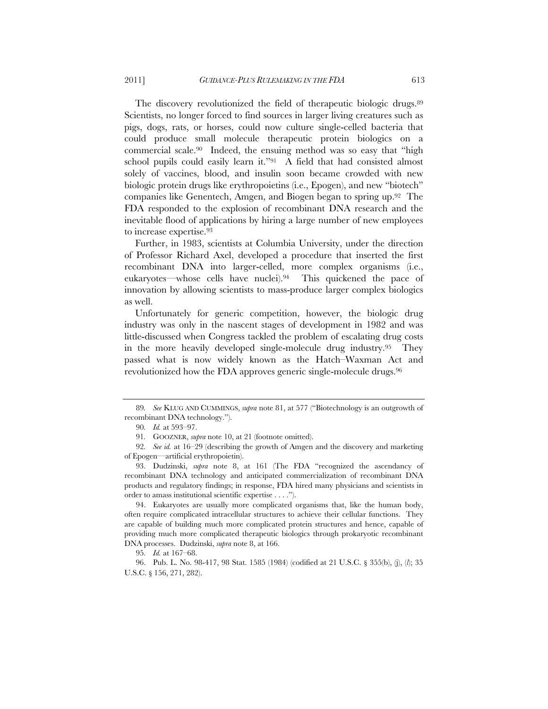The discovery revolutionized the field of therapeutic biologic drugs.<sup>89</sup> Scientists, no longer forced to find sources in larger living creatures such as pigs, dogs, rats, or horses, could now culture single-celled bacteria that could produce small molecule therapeutic protein biologics on a commercial scale.90 Indeed, the ensuing method was so easy that "high school pupils could easily learn it."91 A field that had consisted almost solely of vaccines, blood, and insulin soon became crowded with new biologic protein drugs like erythropoietins (i.e., Epogen), and new "biotech" companies like Genentech, Amgen, and Biogen began to spring up.92 The FDA responded to the explosion of recombinant DNA research and the inevitable flood of applications by hiring a large number of new employees to increase expertise.93

Further, in 1983, scientists at Columbia University, under the direction of Professor Richard Axel, developed a procedure that inserted the first recombinant DNA into larger-celled, more complex organisms (i.e., eukaryotes—whose cells have nuclei).94 This quickened the pace of innovation by allowing scientists to mass-produce larger complex biologics as well.

Unfortunately for generic competition, however, the biologic drug industry was only in the nascent stages of development in 1982 and was little-discussed when Congress tackled the problem of escalating drug costs in the more heavily developed single-molecule drug industry.95 They passed what is now widely known as the Hatch–Waxman Act and revolutionized how the FDA approves generic single-molecule drugs.96

95*. Id.* at 167–68.

96. Pub. L. No. 98-417, 98 Stat. 1585 (1984) (codified at 21 U.S.C. § 355(b), (j), (*l*); 35 U.S.C. § 156, 271, 282).

<sup>89</sup>*. See* KLUG AND CUMMINGS, *supra* note 81, at 577 ("Biotechnology is an outgrowth of recombinant DNA technology.").

<sup>90</sup>*. Id.* at 593–97.

<sup>91</sup>*.* GOOZNER, *supra* note 10, at 21 (footnote omitted).

<sup>92</sup>*. See id.* at 16–29 (describing the growth of Amgen and the discovery and marketing of Epogen—artificial erythropoietin).

<sup>93.</sup> Dudzinski, *supra* note 8, at 161 (The FDA "recognized the ascendancy of recombinant DNA technology and anticipated commercialization of recombinant DNA products and regulatory findings; in response, FDA hired many physicians and scientists in order to amass institutional scientific expertise . . . .").

<sup>94.</sup> Eukaryotes are usually more complicated organisms that, like the human body, often require complicated intracellular structures to achieve their cellular functions. They are capable of building much more complicated protein structures and hence, capable of providing much more complicated therapeutic biologics through prokaryotic recombinant DNA processes. Dudzinski, *supra* note 8, at 166.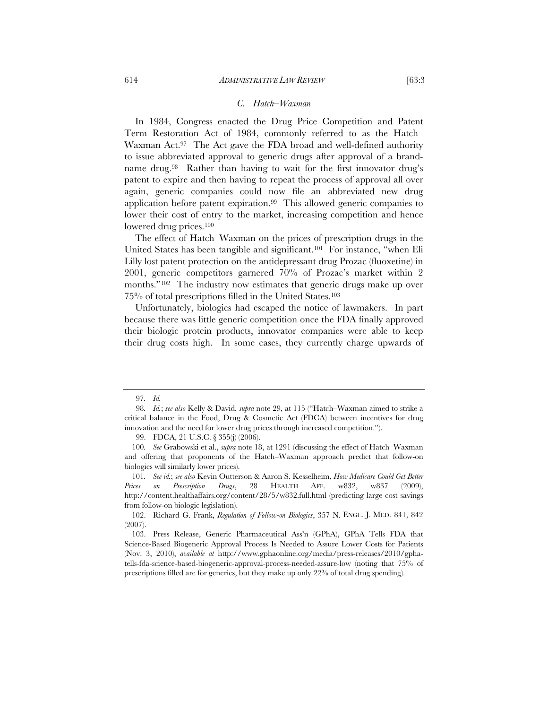#### *C. Hatch–Waxman*

In 1984, Congress enacted the Drug Price Competition and Patent Term Restoration Act of 1984, commonly referred to as the Hatch– Waxman Act.<sup>97</sup> The Act gave the FDA broad and well-defined authority to issue abbreviated approval to generic drugs after approval of a brandname drug.<sup>98</sup> Rather than having to wait for the first innovator drug's patent to expire and then having to repeat the process of approval all over again, generic companies could now file an abbreviated new drug application before patent expiration.99 This allowed generic companies to lower their cost of entry to the market, increasing competition and hence lowered drug prices.100

The effect of Hatch–Waxman on the prices of prescription drugs in the United States has been tangible and significant.<sup>101</sup> For instance, "when Eli Lilly lost patent protection on the antidepressant drug Prozac (fluoxetine) in 2001, generic competitors garnered 70% of Prozac's market within 2 months."<sup>102</sup> The industry now estimates that generic drugs make up over 75% of total prescriptions filled in the United States.103

Unfortunately, biologics had escaped the notice of lawmakers. In part because there was little generic competition once the FDA finally approved their biologic protein products, innovator companies were able to keep their drug costs high. In some cases, they currently charge upwards of

<sup>97</sup>*. Id.*

<sup>98</sup>*. Id.*; *see also* Kelly & David, *supra* note 29, at 115 ("Hatch–Waxman aimed to strike a critical balance in the Food, Drug & Cosmetic Act (FDCA) between incentives for drug innovation and the need for lower drug prices through increased competition.").

<sup>99.</sup> FDCA, 21 U.S.C. § 355(j) (2006).

<sup>100</sup>*. See* Grabowski et al., *supra* note 18, at 1291 (discussing the effect of Hatch–Waxman and offering that proponents of the Hatch–Waxman approach predict that follow-on biologies will similarly lower prices).

<sup>101</sup>*. See id.*; *see also* Kevin Outterson & Aaron S. Kesselheim, *How Medicare Could Get Better Prices on Prescription Drugs*, 28 HEALTH AFF. w832, w837 (2009), http://content.healthaffairs.org/content/28/5/w832.full.html (predicting large cost savings from follow-on biologic legislation).

 <sup>102.</sup> Richard G. Frank, *Regulation of Follow-on Biologics*, 357 N. ENGL. J. MED. 841, 842 (2007).

 <sup>103.</sup> Press Release, Generic Pharmaceutical Ass'n (GPhA), GPhA Tells FDA that Science-Based Biogeneric Approval Process Is Needed to Assure Lower Costs for Patients (Nov. 3, 2010), *available at* http://www.gphaonline.org/media/press-releases/2010/gphatells-fda-science-based-biogeneric-approval-process-needed-assure-low (noting that 75% of prescriptions filled are for generics, but they make up only 22% of total drug spending).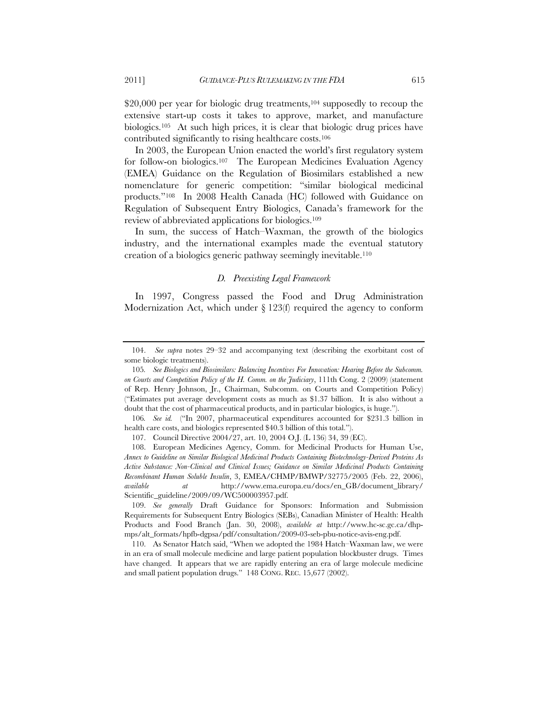\$20,000 per year for biologic drug treatments,<sup>104</sup> supposedly to recoup the extensive start-up costs it takes to approve, market, and manufacture biologics.105 At such high prices, it is clear that biologic drug prices have contributed significantly to rising healthcare costs.106

In 2003, the European Union enacted the world's first regulatory system for follow-on biologics.107 The European Medicines Evaluation Agency (EMEA) Guidance on the Regulation of Biosimilars established a new nomenclature for generic competition: "similar biological medicinal products."108 In 2008 Health Canada (HC) followed with Guidance on Regulation of Subsequent Entry Biologics, Canada's framework for the review of abbreviated applications for biologics.109

In sum, the success of Hatch–Waxman, the growth of the biologics industry, and the international examples made the eventual statutory creation of a biologics generic pathway seemingly inevitable.110

#### *D. Preexisting Legal Framework*

In 1997, Congress passed the Food and Drug Administration Modernization Act, which under § 123(f) required the agency to conform

 <sup>104.</sup> *See supra* notes 29–32 and accompanying text (describing the exorbitant cost of some biologic treatments).

<sup>105</sup>*. See Biologics and Biosimilars: Balancing Incentives For Innovation: Hearing Before the Subcomm. on Courts and Competition Policy of the H. Comm. on the Judiciary*, 111th Cong. 2 (2009) (statement of Rep. Henry Johnson, Jr., Chairman, Subcomm. on Courts and Competition Policy) ("Estimates put average development costs as much as \$1.37 billion. It is also without a doubt that the cost of pharmaceutical products, and in particular biologics, is huge.").

<sup>106</sup>*. See id.* ("In 2007, pharmaceutical expenditures accounted for \$231.3 billion in health care costs, and biologics represented \$40.3 billion of this total.").

<sup>107.</sup> Council Directive 2004/27, art. 10, 2004 O.J. (L 136) 34, 39 (EC).

 <sup>108.</sup> European Medicines Agency, Comm. for Medicinal Products for Human Use, *Annex to Guideline on Similar Biological Medicinal Products Containing Biotechnology-Derived Proteins As Active Substance: Non-Clinical and Clinical Issues; Guidance on Similar Medicinal Products Containing Recombinant Human Soluble Insulin*, 3, EMEA/CHMP/BMWP/32775/2005 (Feb. 22, 2006), *available at* http://www.ema.europa.eu/docs/en\_GB/document\_library/ Scientific\_guideline/2009/09/WC500003957.pdf.

 <sup>109.</sup> *See generally* Draft Guidance for Sponsors: Information and Submission Requirements for Subsequent Entry Biologics (SEBs), Canadian Minister of Health: Health Products and Food Branch (Jan. 30, 2008), *available at* http://www.hc-sc.gc.ca/dhpmps/alt\_formats/hpfb-dgpsa/pdf/consultation/2009-03-seb-pbu-notice-avis-eng.pdf.

 <sup>110.</sup> As Senator Hatch said, "When we adopted the 1984 Hatch–Waxman law, we were in an era of small molecule medicine and large patient population blockbuster drugs. Times have changed. It appears that we are rapidly entering an era of large molecule medicine and small patient population drugs." 148 CONG. REC. 15,677 (2002).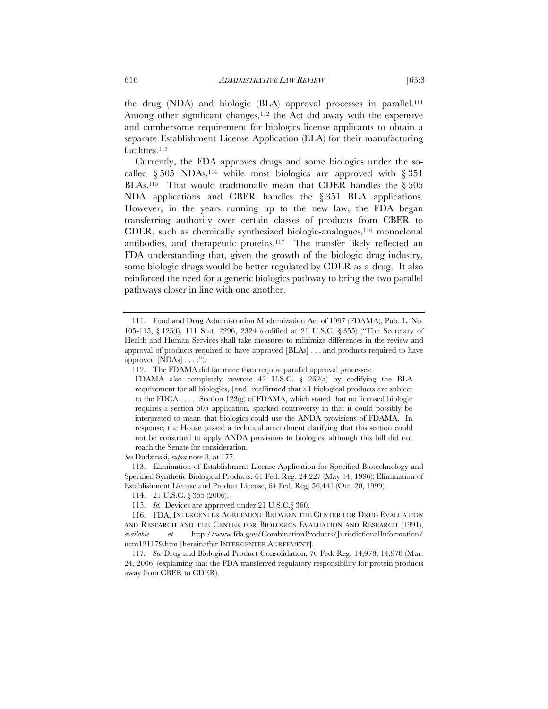the drug (NDA) and biologic (BLA) approval processes in parallel.111 Among other significant changes,<sup>112</sup> the Act did away with the expensive and cumbersome requirement for biologics license applicants to obtain a separate Establishment License Application (ELA) for their manufacturing facilities.<sup>113</sup>

Currently, the FDA approves drugs and some biologics under the socalled  $§ 505 \text{ NDAs},^{114}$  while most biologics are approved with § 351 BLAs.<sup>115</sup> That would traditionally mean that CDER handles the  $\S 505$ NDA applications and CBER handles the § 351 BLA applications. However, in the years running up to the new law, the FDA began transferring authority over certain classes of products from CBER to CDER, such as chemically synthesized biologic-analogues,116 monoclonal antibodies, and therapeutic proteins.117 The transfer likely reflected an FDA understanding that, given the growth of the biologic drug industry, some biologic drugs would be better regulated by CDER as a drug. It also reinforced the need for a generic biologics pathway to bring the two parallel pathways closer in line with one another.

*See* Dudzinski, *supra* note 8, at 177.

 113. Elimination of Establishment License Application for Specified Biotechnology and Specified Synthetic Biological Products, 61 Fed. Reg. 24,227 (May 14, 1996); Elimination of Establishment License and Product License, 64 Fed. Reg. 56,441 (Oct. 20, 1999).

114. 21 U.S.C. § 355 (2006).

 <sup>111.</sup> Food and Drug Administration Modernization Act of 1997 (FDAMA), Pub. L. No. 105-115, § 123(f), 111 Stat. 2296, 2324 (codified at 21 U.S.C. § 355) ("The Secretary of Health and Human Services shall take measures to minimize differences in the review and approval of products required to have approved [BLAs] . . . and products required to have approved  $[NDAs] \ldots$ .").

<sup>112</sup>*.* The FDAMA did far more than require parallel approval processes:

FDAMA also completely rewrote 42 U.S.C. § 262(a) by codifying the BLA requirement for all biologics, [and] reaffirmed that all biological products are subject to the FDCA . . . . Section 123(g) of FDAMA, which stated that no licensed biologic requires a section 505 application, sparked controversy in that it could possibly be interpreted to mean that biologics could use the ANDA provisions of FDAMA. In response, the House passed a technical amendment clarifying that this section could not be construed to apply ANDA provisions to biologics, although this bill did not reach the Senate for consideration.

 <sup>115.</sup> *Id.* Devices are approved under 21 U.S.C.§ 360.

 <sup>116.</sup> FDA, INTERCENTER AGREEMENT BETWEEN THE CENTER FOR DRUG EVALUATION AND RESEARCH AND THE CENTER FOR BIOLOGICS EVALUATION AND RESEARCH (1991), *available at* http://www.fda.gov/CombinationProducts/JurisdictionalInformation/ ucm121179.htm [hereinafter INTERCENTER AGREEMENT].

<sup>117</sup>*. See* Drug and Biological Product Consolidation, 70 Fed. Reg. 14,978, 14,978 (Mar. 24, 2006) (explaining that the FDA transferred regulatory responsibility for protein products away from CBER to CDER).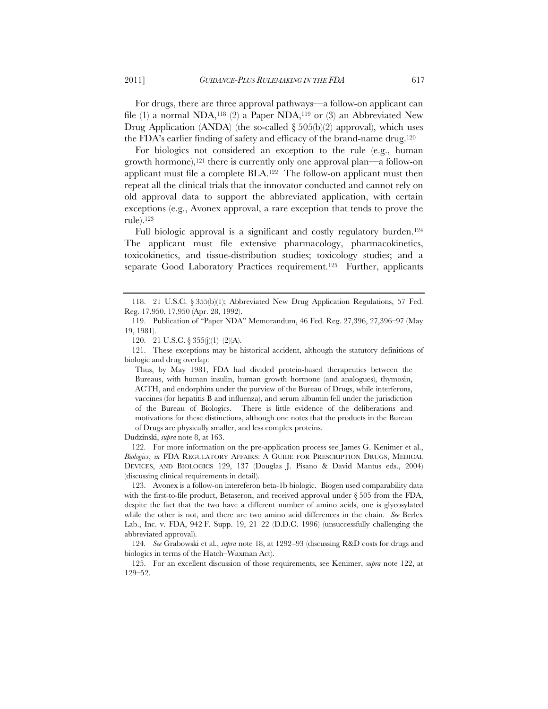For biologics not considered an exception to the rule (e.g., human growth hormone),121 there is currently only one approval plan—a follow-on applicant must file a complete BLA.122 The follow-on applicant must then repeat all the clinical trials that the innovator conducted and cannot rely on old approval data to support the abbreviated application, with certain exceptions (e.g., Avonex approval, a rare exception that tends to prove the rule).123

Full biologic approval is a significant and costly regulatory burden.<sup>124</sup> The applicant must file extensive pharmacology, pharmacokinetics, toxicokinetics, and tissue-distribution studies; toxicology studies; and a separate Good Laboratory Practices requirement.<sup>125</sup> Further, applicants

120. 21 U.S.C. § 355(j)(1)–(2)(A).

 121. These exceptions may be historical accident, although the statutory definitions of biologic and drug overlap:

Thus, by May 1981, FDA had divided protein-based therapeutics between the Bureaus, with human insulin, human growth hormone (and analogues), thymosin, ACTH, and endorphins under the purview of the Bureau of Drugs, while interferons, vaccines (for hepatitis B and influenza), and serum albumin fell under the jurisdiction of the Bureau of Biologics. There is little evidence of the deliberations and motivations for these distinctions, although one notes that the products in the Bureau of Drugs are physically smaller, and less complex proteins.

Dudzinski, *supra* note 8, at 163.

 122. For more information on the pre-application process see James G. Kenimer et al., *Biologics*, *in* FDA REGULATORY AFFAIRS: A GUIDE FOR PRESCRIPTION DRUGS, MEDICAL DEVICES, AND BIOLOGICS 129, 137 (Douglas J. Pisano & David Mantus eds., 2004) (discussing clinical requirements in detail).

 123. Avonex is a follow-on intereferon beta-1b biologic. Biogen used comparability data with the first-to-file product, Betaseron, and received approval under  $\S 505$  from the FDA, despite the fact that the two have a different number of amino acids, one is glycosylated while the other is not, and there are two amino acid differences in the chain. *See* Berlex Lab., Inc. v. FDA, 942 F. Supp. 19, 21–22 (D.D.C. 1996) (unsuccessfully challenging the abbreviated approval).

124*. See* Grabowski et al., *supra* note 18, at 1292–93 (discussing R&D costs for drugs and biologics in terms of the Hatch–Waxman Act).

 125. For an excellent discussion of those requirements, see Kenimer, *supra* note 122, at 129–52.

 <sup>118. 21</sup> U.S.C. § 355(b)(1); Abbreviated New Drug Application Regulations, 57 Fed. Reg. 17,950, 17,950 (Apr. 28, 1992).

 <sup>119.</sup> Publication of "Paper NDA" Memorandum, 46 Fed. Reg. 27,396, 27,396–97 (May 19, 1981).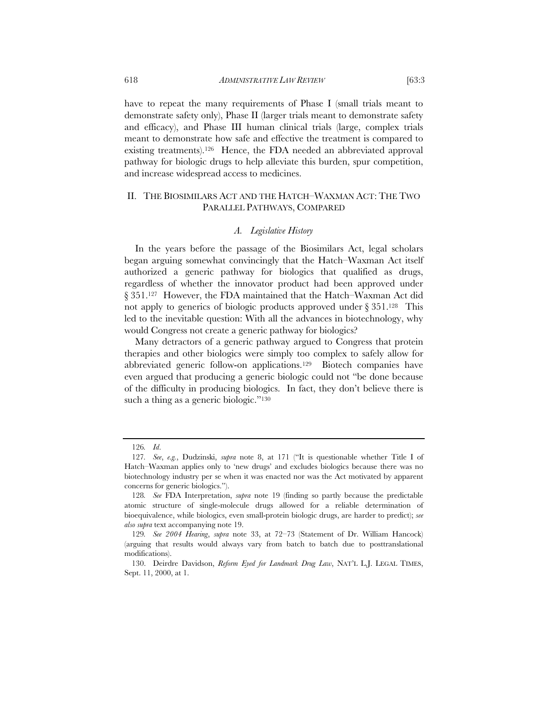have to repeat the many requirements of Phase I (small trials meant to demonstrate safety only), Phase II (larger trials meant to demonstrate safety and efficacy), and Phase III human clinical trials (large, complex trials meant to demonstrate how safe and effective the treatment is compared to existing treatments).126 Hence, the FDA needed an abbreviated approval pathway for biologic drugs to help alleviate this burden, spur competition, and increase widespread access to medicines.

## II. THE BIOSIMILARS ACT AND THE HATCH–WAXMAN ACT: THE TWO PARALLEL PATHWAYS, COMPARED

## *A. Legislative History*

In the years before the passage of the Biosimilars Act, legal scholars began arguing somewhat convincingly that the Hatch–Waxman Act itself authorized a generic pathway for biologics that qualified as drugs, regardless of whether the innovator product had been approved under § 351.127 However, the FDA maintained that the Hatch–Waxman Act did not apply to generics of biologic products approved under  $\S 351$ .<sup>128</sup> This led to the inevitable question: With all the advances in biotechnology, why would Congress not create a generic pathway for biologics?

Many detractors of a generic pathway argued to Congress that protein therapies and other biologics were simply too complex to safely allow for abbreviated generic follow-on applications.129 Biotech companies have even argued that producing a generic biologic could not "be done because of the difficulty in producing biologics. In fact, they don't believe there is such a thing as a generic biologic."<sup>130</sup>

<sup>126</sup>*. Id*.

<sup>127</sup>*. See*, *e.g.*, Dudzinski, *supra* note 8, at 171 ("It is questionable whether Title I of Hatch–Waxman applies only to 'new drugs' and excludes biologics because there was no biotechnology industry per se when it was enacted nor was the Act motivated by apparent concerns for generic biologics.").

<sup>128</sup>*. See* FDA Interpretation, *supra* note 19 (finding so partly because the predictable atomic structure of single-molecule drugs allowed for a reliable determination of bioequivalence, while biologics, even small-protein biologic drugs, are harder to predict); *see also supra* text accompanying note 19.

<sup>129</sup>*. See 2004 Hearing*, *supra* note 33, at 72–73 (Statement of Dr. William Hancock) (arguing that results would always vary from batch to batch due to posttranslational modifications).

 <sup>130.</sup> Deirdre Davidson, *Reform Eyed for Landmark Drug Law*, NAT'L L.J. LEGAL TIMES, Sept. 11, 2000, at 1.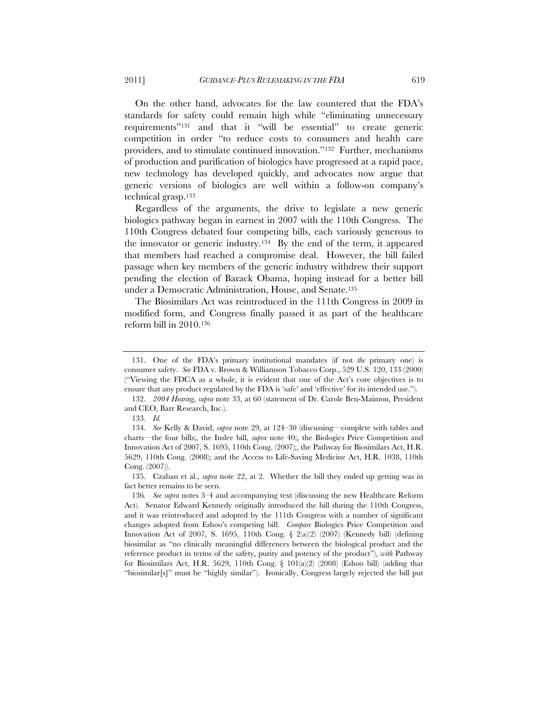On the other hand, advocates for the law countered that the FDA's standards for safety could remain high while "eliminating unnecessary requirements"131 and that it "will be essential" to create generic competition in order "to reduce costs to consumers and health care providers, and to stimulate continued innovation."132 Further, mechanisms of production and purification of biologics have progressed at a rapid pace, new technology has developed quickly, and advocates now argue that generic versions of biologics are well within a follow-on company's technical grasp.133

Regardless of the arguments, the drive to legislate a new generic biologics pathway began in earnest in 2007 with the 110th Congress. The 110th Congress debated four competing bills, each variously generous to the innovator or generic industry.<sup>134</sup> By the end of the term, it appeared that members had reached a compromise deal. However, the bill failed passage when key members of the generic industry withdrew their support pending the election of Barack Obama, hoping instead for a better bill under a Democratic Administration, House, and Senate.135

The Biosimilars Act was reintroduced in the 111th Congress in 2009 in modified form, and Congress finally passed it as part of the healthcare reform bill in 2010.136

 <sup>131.</sup> One of the FDA's primary institutional mandates (if not *the* primary one) is consumer safety. *See* FDA v. Brown & Williamson Tobacco Corp., 529 U.S. 120, 133 (2000) ("Viewing the FDCA as a whole, it is evident that one of the Act's core objectives is to ensure that any product regulated by the FDA is 'safe' and 'effective' for its intended use.").

 <sup>132.</sup> *2004 Hearing*, *supra* note 33, at 60 (statement of Dr. Carole Ben-Maimon, President and CEO, Barr Research, Inc.).

<sup>133</sup>*. Id.*

<sup>134</sup>*. See* Kelly & David, *supra* note 29, at 124–30 (discussing—complete with tables and charts—the four bills;, the Inslee bill, *supra* note 40;, the Biologics Price Competition and Innovation Act of 2007, S. 1695, 110th Cong. (2007);, the Pathway for Biosimilars Act, H.R. 5629, 110th Cong. (2008); and the Access to Life-Saving Medicine Act, H.R. 1038, 110th Cong. (2007)).

<sup>135.</sup> Czaban et al., *supra* note 22, at 2. Whether the bill they ended up getting was in fact better remains to be seen.

<sup>136</sup>*. See supra* notes 3–4 and accompanying text (discussing the new Healthcare Reform Act). Senator Edward Kennedy originally introduced the bill during the 110th Congress, and it was reintroduced and adopted by the 111th Congress with a number of significant changes adopted from Eshoo's competing bill. *Compare* Biologics Price Competition and Innovation Act of 2007, S. 1695, 110th Cong. § 2(a)(2) (2007) (Kennedy bill) (defining biosimilar as "no clinically meaningful differences between the biological product and the reference product in terms of the safety, purity and potency of the product"), *with* Pathway for Biosimilars Act, H.R. 5629, 110th Cong. §  $101(a/2)$  (2008) (Eshoo bill) (adding that "biosimilar[s]" must be "highly similar"). Ironically, Congress largely rejected the bill put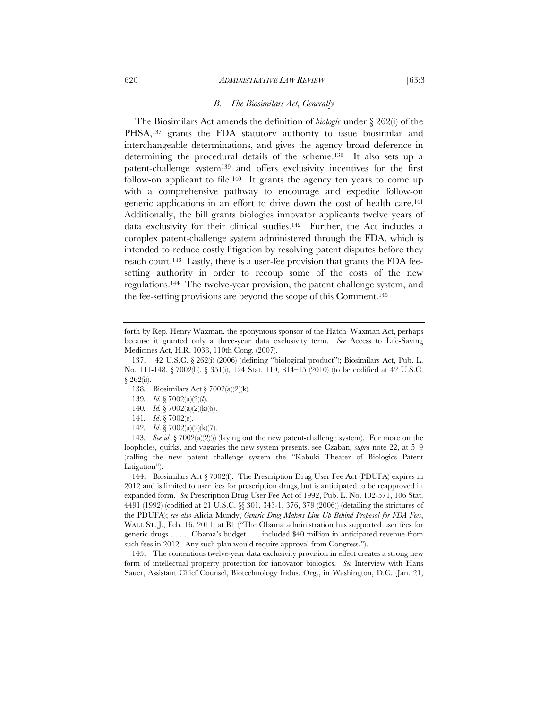The Biosimilars Act amends the definition of *biologic* under § 262(i) of the PHSA,<sup>137</sup> grants the FDA statutory authority to issue biosimilar and interchangeable determinations, and gives the agency broad deference in determining the procedural details of the scheme.138 It also sets up a patent-challenge system139 and offers exclusivity incentives for the first follow-on applicant to file.<sup>140</sup> It grants the agency ten years to come up with a comprehensive pathway to encourage and expedite follow-on generic applications in an effort to drive down the cost of health care.141 Additionally, the bill grants biologics innovator applicants twelve years of data exclusivity for their clinical studies.142 Further, the Act includes a complex patent-challenge system administered through the FDA, which is intended to reduce costly litigation by resolving patent disputes before they reach court.143 Lastly, there is a user-fee provision that grants the FDA feesetting authority in order to recoup some of the costs of the new regulations.144 The twelve-year provision, the patent challenge system, and the fee-setting provisions are beyond the scope of this Comment.145

139*. Id.* § 7002(a)(2)(*l*).

 144. Biosimilars Act § 7002(f). The Prescription Drug User Fee Act (PDUFA) expires in 2012 and is limited to user fees for prescription drugs, but is anticipated to be reapproved in expanded form. *See* Prescription Drug User Fee Act of 1992, Pub. L. No. 102-571, 106 Stat. 4491 (1992) (codified at 21 U.S.C. §§ 301, 343-1, 376, 379 (2006)) (detailing the strictures of the PDUFA); *see also* Alicia Mundy, *Generic Drug Makers Line Up Behind Proposal for FDA Fees*, WALL ST. J., Feb. 16, 2011, at B1 ("The Obama administration has supported user fees for generic drugs . . . . Obama's budget . . . included \$40 million in anticipated revenue from such fees in 2012. Any such plan would require approval from Congress.").

 145. The contentious twelve-year data exclusivity provision in effect creates a strong new form of intellectual property protection for innovator biologics. *See* Interview with Hans Sauer, Assistant Chief Counsel, Biotechnology Indus. Org., in Washington, D.C. (Jan. 21,

forth by Rep. Henry Waxman, the eponymous sponsor of the Hatch–Waxman Act, perhaps because it granted only a three-year data exclusivity term. *See* Access to Life-Saving Medicines Act, H.R. 1038, 110th Cong. (2007).

 <sup>137. 42</sup> U.S.C. § 262(i) (2006) (defining "biological product"); Biosimilars Act, Pub. L. No. 111-148, § 7002(b), § 351(i), 124 Stat. 119, 814–15 (2010) (to be codified at 42 U.S.C.  $§ 262(i)$ .

<sup>138</sup>*.* Biosimilars Act § 7002(a)(2)(k).

<sup>140</sup>*. Id.* § 7002(a)(2)(k)(6).

<sup>141</sup>*. Id*. § 7002(e).

<sup>142</sup>*. Id*. § 7002(a)(2)(k)(7).

<sup>143</sup>*. See id.* § 7002(a)(2)(*l*) (laying out the new patent-challenge system). For more on the loopholes, quirks, and vagaries the new system presents, see Czaban, *supra* note 22, at 5–9 (calling the new patent challenge system the "Kabuki Theater of Biologics Patent Litigation").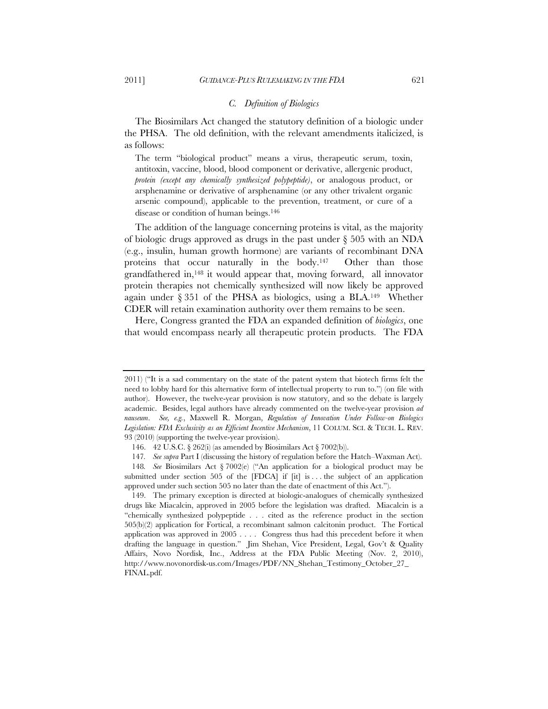### *C. Definition of Biologics*

The Biosimilars Act changed the statutory definition of a biologic under the PHSA. The old definition, with the relevant amendments italicized, is as follows:

The term "biological product" means a virus, therapeutic serum, toxin, antitoxin, vaccine, blood, blood component or derivative, allergenic product, *protein (except any chemically synthesized polypeptide)*, or analogous product, or arsphenamine or derivative of arsphenamine (or any other trivalent organic arsenic compound), applicable to the prevention, treatment, or cure of a disease or condition of human beings.<sup>146</sup>

The addition of the language concerning proteins is vital, as the majority of biologic drugs approved as drugs in the past under § 505 with an NDA (e.g., insulin, human growth hormone) are variants of recombinant DNA proteins that occur naturally in the body.147 Other than those grandfathered in,148 it would appear that, moving forward, all innovator protein therapies not chemically synthesized will now likely be approved again under § 351 of the PHSA as biologics, using a BLA.149 Whether CDER will retain examination authority over them remains to be seen.

Here, Congress granted the FDA an expanded definition of *biologics*, one that would encompass nearly all therapeutic protein products. The FDA

<sup>2011) (&</sup>quot;It is a sad commentary on the state of the patent system that biotech firms felt the need to lobby hard for this alternative form of intellectual property to run to.") (on file with author). However, the twelve-year provision is now statutory, and so the debate is largely academic. Besides, legal authors have already commented on the twelve-year provision *ad nauseum*. *See, e.g.*, Maxwell R. Morgan, *Regulation of Innovation Under Follow-on Biologics Legislation: FDA Exclusivity as an Efficient Incentive Mechanism*, 11 COLUM. SCI. & TECH. L. REV. 93 (2010) (supporting the twelve-year provision).

<sup>146. 42</sup> U.S.C. § 262(i) (as amended by Biosimilars Act § 7002(b)).

<sup>147</sup>*. See supra* Part I (discussing the history of regulation before the Hatch–Waxman Act).

<sup>148</sup>*. See* Biosimilars Act § 7002(e) ("An application for a biological product may be submitted under section 505 of the  $[FDCA]$  if  $[it]$  is ... the subject of an application approved under such section 505 no later than the date of enactment of this Act.").

 <sup>149.</sup> The primary exception is directed at biologic-analogues of chemically synthesized drugs like Miacalcin, approved in 2005 before the legislation was drafted. Miacalcin is a "chemically synthesized polypeptide . . . cited as the reference product in the section 505(b)(2) application for Fortical, a recombinant salmon calcitonin product. The Fortical application was approved in 2005 . . . . Congress thus had this precedent before it when drafting the language in question." Jim Shehan, Vice President, Legal, Gov't & Quality Affairs, Novo Nordisk, Inc., Address at the FDA Public Meeting (Nov. 2, 2010), http://www.novonordisk-us.com/Images/PDF/NN\_Shehan\_Testimony\_October\_27\_ FINAL.pdf.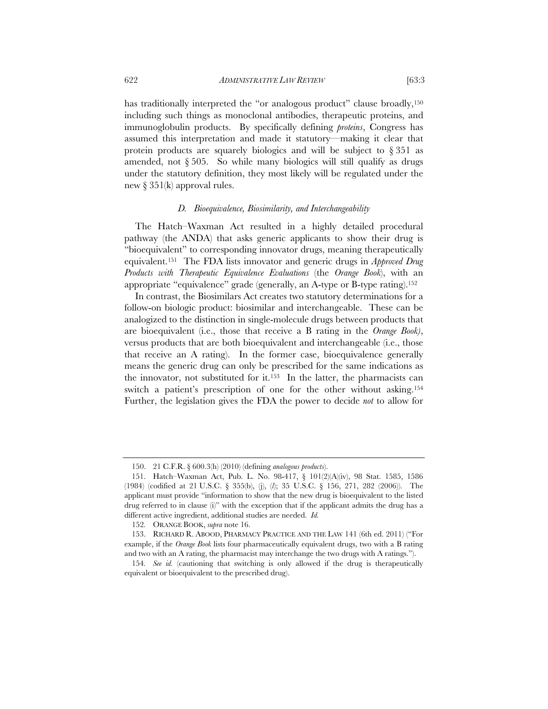has traditionally interpreted the "or analogous product" clause broadly,<sup>150</sup> including such things as monoclonal antibodies, therapeutic proteins, and immunoglobulin products. By specifically defining *proteins*, Congress has assumed this interpretation and made it statutory—making it clear that protein products are squarely biologics and will be subject to  $\S 351$  as amended, not § 505. So while many biologics will still qualify as drugs under the statutory definition, they most likely will be regulated under the new § 351(k) approval rules.

#### *D. Bioequivalence, Biosimilarity, and Interchangeability*

The Hatch–Waxman Act resulted in a highly detailed procedural pathway (the ANDA) that asks generic applicants to show their drug is "bioequivalent" to corresponding innovator drugs, meaning therapeutically equivalent.151 The FDA lists innovator and generic drugs in *Approved Drug Products with Therapeutic Equivalence Evaluations* (the *Orange Book*), with an appropriate "equivalence" grade (generally, an A-type or B-type rating).152

In contrast, the Biosimilars Act creates two statutory determinations for a follow-on biologic product: biosimilar and interchangeable. These can be analogized to the distinction in single-molecule drugs between products that are bioequivalent (i.e., those that receive a B rating in the *Orange Book)*, versus products that are both bioequivalent and interchangeable (i.e., those that receive an A rating). In the former case, bioequivalence generally means the generic drug can only be prescribed for the same indications as the innovator, not substituted for it.153 In the latter, the pharmacists can switch a patient's prescription of one for the other without asking.<sup>154</sup> Further, the legislation gives the FDA the power to decide *not* to allow for

<sup>150. 21</sup> C.F.R. § 600.3(h) (2010) (defining *analogous products*).

 <sup>151.</sup> Hatch–Waxman Act, Pub. L. No. 98-417, § 101(2)(A)(iv), 98 Stat. 1585, 1586 (1984) (codified at 21 U.S.C. § 355(b), (j), (*l*); 35 U.S.C. § 156, 271, 282 (2006)). The applicant must provide "information to show that the new drug is bioequivalent to the listed drug referred to in clause (i)" with the exception that if the applicant admits the drug has a different active ingredient, additional studies are needed. *Id.*

<sup>152</sup>*.* ORANGE BOOK, *supra* note 16.

 <sup>153.</sup> RICHARD R. ABOOD, PHARMACY PRACTICE AND THE LAW 141 (6th ed. 2011) ("For example, if the *Orange Book* lists four pharmaceutically equivalent drugs, two with a B rating and two with an A rating, the pharmacist may interchange the two drugs with A ratings.").

<sup>154</sup>*. See id.* (cautioning that switching is only allowed if the drug is therapeutically equivalent or bioequivalent to the prescribed drug).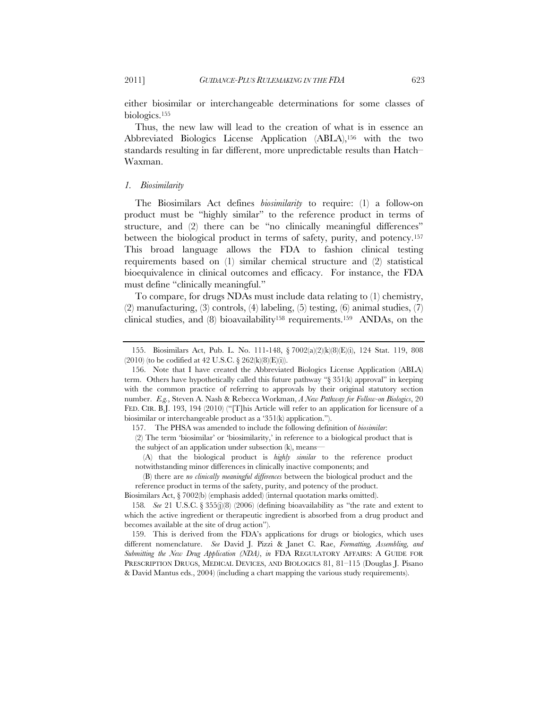either biosimilar or interchangeable determinations for some classes of biologics.155

Thus, the new law will lead to the creation of what is in essence an Abbreviated Biologics License Application (ABLA),156 with the two standards resulting in far different, more unpredictable results than Hatch– Waxman.

#### *1. Biosimilarity*

The Biosimilars Act defines *biosimilarity* to require: (1) a follow-on product must be "highly similar" to the reference product in terms of structure, and (2) there can be "no clinically meaningful differences" between the biological product in terms of safety, purity, and potency.157 This broad language allows the FDA to fashion clinical testing requirements based on (1) similar chemical structure and (2) statistical bioequivalence in clinical outcomes and efficacy. For instance, the FDA must define "clinically meaningful."

To compare, for drugs NDAs must include data relating to (1) chemistry, (2) manufacturing, (3) controls, (4) labeling, (5) testing, (6) animal studies, (7) clinical studies, and  $(8)$  bioavailability<sup>158</sup> requirements.<sup>159</sup> ANDAs, on the

 <sup>155.</sup> Biosimilars Act, Pub. L. No. 111-148, § 7002(a)(2)(k)(8)(E)(i), 124 Stat. 119, 808  $(2010)$  (to be codified at 42 U.S.C. § 262(k)(8)(E)(i)).

 <sup>156.</sup> Note that I have created the Abbreviated Biologics License Application (ABLA) term. Others have hypothetically called this future pathway "§ 351(k) approval" in keeping with the common practice of referring to approvals by their original statutory section number. *E.g.*, Steven A. Nash & Rebecca Workman, *A New Pathway for Follow-on Biologics*, 20 FED. CIR. B.J. 193, 194 (2010) ("This Article will refer to an application for licensure of a biosimilar or interchangeable product as a '351(k) application.").

<sup>157.</sup> The PHSA was amended to include the following definition of *biosimilar*:

<sup>(2)</sup> The term 'biosimilar' or 'biosimilarity,' in reference to a biological product that is the subject of an application under subsection (k), means—

 <sup>(</sup>A) that the biological product is *highly similar* to the reference product notwithstanding minor differences in clinically inactive components; and

 <sup>(</sup>B) there are *no clinically meaningful differences* between the biological product and the reference product in terms of the safety, purity, and potency of the product.

Biosimilars Act, § 7002(b) (emphasis added) (internal quotation marks omitted).

<sup>158</sup>*. See* 21 U.S.C. § 355(j)(8) (2006) (defining bioavailability as "the rate and extent to which the active ingredient or therapeutic ingredient is absorbed from a drug product and becomes available at the site of drug action").

 <sup>159.</sup> This is derived from the FDA's applications for drugs or biologics, which uses different nomenclature. *See* David J. Pizzi & Janet C. Rae, *Formatting, Assembling, and Submitting the New Drug Application (NDA)*, *in* FDA REGULATORY AFFAIRS: A GUIDE FOR PRESCRIPTION DRUGS, MEDICAL DEVICES, AND BIOLOGICS 81, 81–115 (Douglas J. Pisano & David Mantus eds., 2004) (including a chart mapping the various study requirements).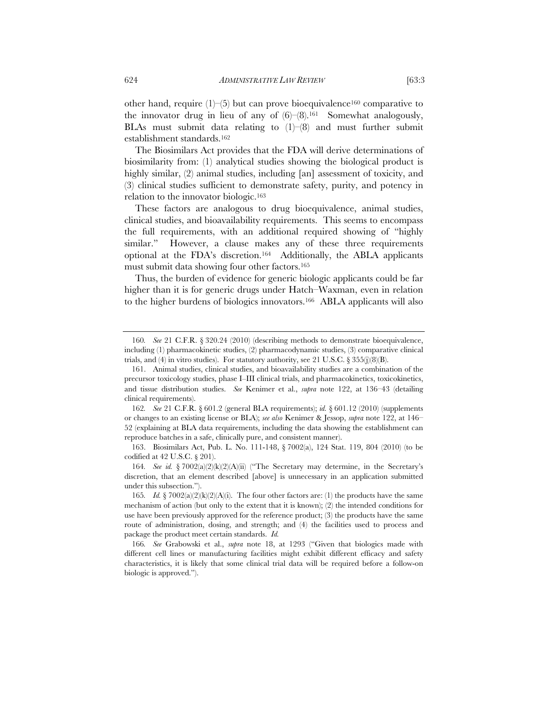other hand, require  $(1)$ – $(5)$  but can prove bioequivalence<sup>160</sup> comparative to the innovator drug in lieu of any of  $(6)$ – $(8)$ .<sup>161</sup> Somewhat analogously, BLAs must submit data relating to  $(1)$ – $(8)$  and must further submit establishment standards.162

The Biosimilars Act provides that the FDA will derive determinations of biosimilarity from: (1) analytical studies showing the biological product is highly similar, (2) animal studies, including [an] assessment of toxicity, and (3) clinical studies sufficient to demonstrate safety, purity, and potency in relation to the innovator biologic.163

These factors are analogous to drug bioequivalence, animal studies, clinical studies, and bioavailability requirements. This seems to encompass the full requirements, with an additional required showing of "highly similar." However, a clause makes any of these three requirements optional at the FDA's discretion.164 Additionally, the ABLA applicants must submit data showing four other factors.165

Thus, the burden of evidence for generic biologic applicants could be far higher than it is for generic drugs under Hatch–Waxman, even in relation to the higher burdens of biologics innovators.166 ABLA applicants will also

<sup>160</sup>*. See* 21 C.F.R. § 320.24 (2010) (describing methods to demonstrate bioequivalence, including (1) pharmacokinetic studies, (2) pharmacodynamic studies, (3) comparative clinical trials, and (4) in vitro studies). For statutory authority, see 21 U.S.C.  $\S 355(j)(8)(B)$ .

 <sup>161.</sup> Animal studies, clinical studies, and bioavailability studies are a combination of the precursor toxicology studies, phase I–III clinical trials, and pharmacokinetics, toxicokinetics, and tissue distribution studies. *See* Kenimer et al., *supra* note 122, at 136–43 (detailing clinical requirements).

<sup>162</sup>*. See* 21 C.F.R. § 601.2 (general BLA requirements); *id.* § 601.12 (2010) (supplements or changes to an existing license or BLA); *see also* Kenimer & Jessop, *supra* note 122, at 146– 52 (explaining at BLA data requirements, including the data showing the establishment can reproduce batches in a safe, clinically pure, and consistent manner).

 <sup>163.</sup> Biosimilars Act, Pub. L. No. 111-148, § 7002(a), 124 Stat. 119, 804 (2010) (to be codified at 42 U.S.C. § 201).

<sup>164</sup>*. See id.* § 7002(a)(2)(k)(2)(A)(ii) ("The Secretary may determine, in the Secretary's discretion, that an element described [above] is unnecessary in an application submitted under this subsection.").

<sup>165</sup>*. Id.* § 7002(a)(2)(k)(2)(A)(i). The four other factors are: (1) the products have the same mechanism of action (but only to the extent that it is known); (2) the intended conditions for use have been previously approved for the reference product; (3) the products have the same route of administration, dosing, and strength; and (4) the facilities used to process and package the product meet certain standards. *Id.*

<sup>166</sup>*. See* Grabowski et al., *supra* note 18, at 1293 ("Given that biologics made with different cell lines or manufacturing facilities might exhibit different efficacy and safety characteristics, it is likely that some clinical trial data will be required before a follow-on biologic is approved.").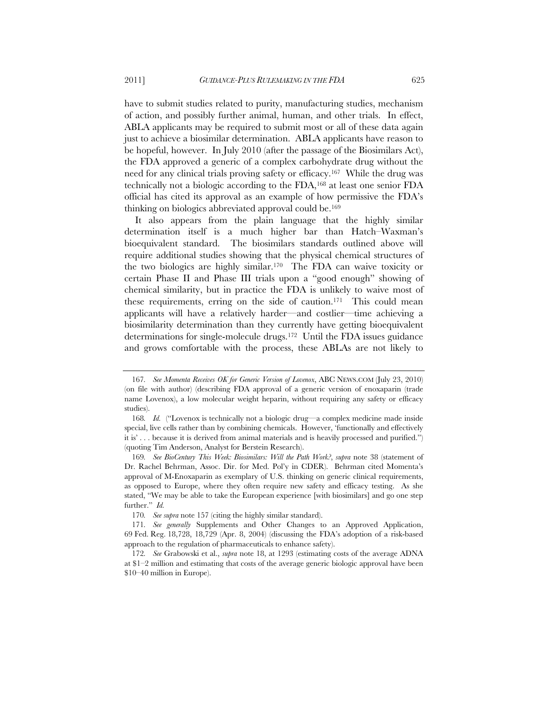have to submit studies related to purity, manufacturing studies, mechanism of action, and possibly further animal, human, and other trials. In effect, ABLA applicants may be required to submit most or all of these data again just to achieve a biosimilar determination. ABLA applicants have reason to be hopeful, however. In July 2010 (after the passage of the Biosimilars Act), the FDA approved a generic of a complex carbohydrate drug without the need for any clinical trials proving safety or efficacy.167 While the drug was technically not a biologic according to the FDA,168 at least one senior FDA official has cited its approval as an example of how permissive the FDA's thinking on biologics abbreviated approval could be.169

It also appears from the plain language that the highly similar determination itself is a much higher bar than Hatch–Waxman's bioequivalent standard. The biosimilars standards outlined above will require additional studies showing that the physical chemical structures of the two biologics are highly similar.170 The FDA can waive toxicity or certain Phase II and Phase III trials upon a "good enough" showing of chemical similarity, but in practice the FDA is unlikely to waive most of these requirements, erring on the side of caution.171 This could mean applicants will have a relatively harder—and costlier—time achieving a biosimilarity determination than they currently have getting bioequivalent determinations for single-molecule drugs.172 Until the FDA issues guidance and grows comfortable with the process, these ABLAs are not likely to

<sup>167</sup>*. See Momenta Receives OK for Generic Version of Lovenox*, ABC NEWS.COM (July 23, 2010) (on file with author) (describing FDA approval of a generic version of enoxaparin (trade name Lovenox), a low molecular weight heparin, without requiring any safety or efficacy studies).

<sup>168</sup>*. Id.* ("Lovenox is technically not a biologic drug—a complex medicine made inside special, live cells rather than by combining chemicals. However, 'functionally and effectively it is' . . . because it is derived from animal materials and is heavily processed and purified.") (quoting Tim Anderson, Analyst for Berstein Research).

<sup>169</sup>*. See BioCentury This Week: Biosimilars: Will the Path Work?*, *supra* note 38 (statement of Dr. Rachel Behrman, Assoc. Dir. for Med. Pol'y in CDER). Behrman cited Momenta's approval of M-Enoxaparin as exemplary of U.S. thinking on generic clinical requirements, as opposed to Europe, where they often require new safety and efficacy testing. As she stated, "We may be able to take the European experience [with biosimilars] and go one step further." *Id.*

<sup>170</sup>*. See supra* note 157 (citing the highly similar standard).

<sup>171</sup>*. See generally* Supplements and Other Changes to an Approved Application, 69 Fed. Reg. 18,728, 18,729 (Apr. 8, 2004) (discussing the FDA's adoption of a risk-based approach to the regulation of pharmaceuticals to enhance safety).

<sup>172</sup>*. See* Grabowski et al., *supra* note 18, at 1293 (estimating costs of the average ADNA at \$1–2 million and estimating that costs of the average generic biologic approval have been \$10–40 million in Europe).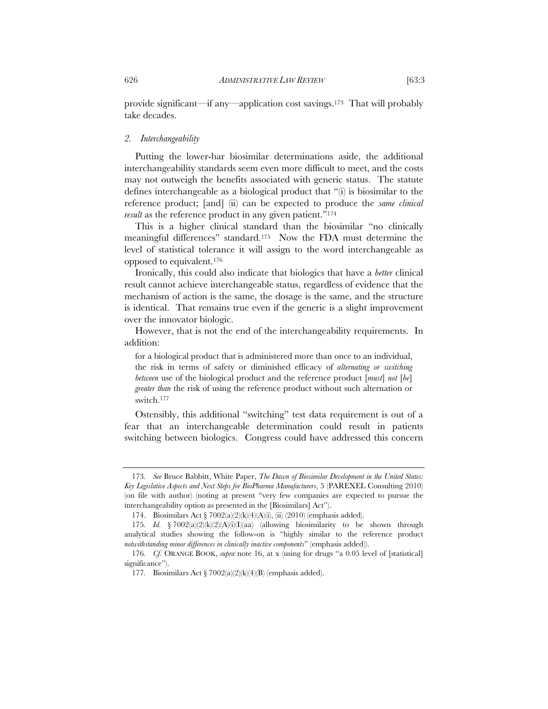#### *2. Interchangeability*

take decades.

Putting the lower-bar biosimilar determinations aside, the additional interchangeability standards seem even more difficult to meet, and the costs may not outweigh the benefits associated with generic status. The statute defines interchangeable as a biological product that "(i) is biosimilar to the reference product; [and] (ii) can be expected to produce the *same clinical result* as the reference product in any given patient."<sup>174</sup>

This is a higher clinical standard than the biosimilar "no clinically meaningful differences" standard.175 Now the FDA must determine the level of statistical tolerance it will assign to the word interchangeable as opposed to equivalent.176

Ironically, this could also indicate that biologics that have a *better* clinical result cannot achieve interchangeable status, regardless of evidence that the mechanism of action is the same, the dosage is the same, and the structure is identical. That remains true even if the generic is a slight improvement over the innovator biologic.

However, that is not the end of the interchangeability requirements. In addition:

for a biological product that is administered more than once to an individual, the risk in terms of safety or diminished efficacy of *alternating or switching between* use of the biological product and the reference product [*must*] *not* [*be*] *greater than* the risk of using the reference product without such alternation or switch.177

Ostensibly, this additional "switching" test data requirement is out of a fear that an interchangeable determination could result in patients switching between biologics. Congress could have addressed this concern

<sup>173</sup>*. See* Bruce Babbitt, White Paper, *The Dawn of Biosimilar Development in the United States: Key Legislative Aspects and Next Steps for BioPharma Manufacturers*, 5 (PAREXEL Consulting 2010) (on file with author) (noting at present "very few companies are expected to pursue the interchangeability option as presented in the [Biosimilars] Act").

<sup>174.</sup> Biosimilars Act § 7002(a)(2)(k)(4)(A)(i), (ii) (2010) (emphasis added).

<sup>175</sup>*. Id.* § 7002(a)(2)(k)(2)(A)(i)(I)(aa) (allowing biosimilarity to be shown through analytical studies showing the follow-on is "highly similar to the reference product *notwithstanding minor differences in clinically inactive components*" (emphasis added)).

<sup>176</sup>*. Cf.* ORANGE BOOK, *supra* note 16, at x (using for drugs "a 0.05 level of [statistical] significance").

<sup>177</sup>*.* Biosimilars Act § 7002(a)(2)(k)(4)(B) (emphasis added).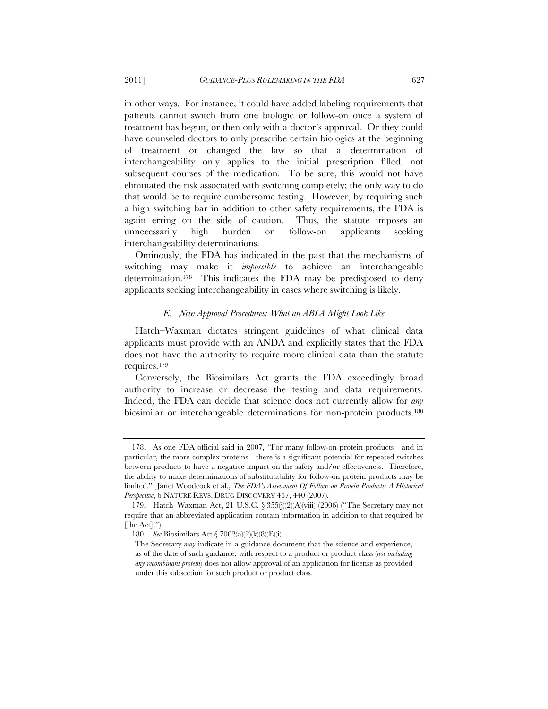in other ways. For instance, it could have added labeling requirements that patients cannot switch from one biologic or follow-on once a system of treatment has begun, or then only with a doctor's approval. Or they could have counseled doctors to only prescribe certain biologics at the beginning of treatment or changed the law so that a determination of interchangeability only applies to the initial prescription filled, not subsequent courses of the medication. To be sure, this would not have eliminated the risk associated with switching completely; the only way to do that would be to require cumbersome testing. However, by requiring such a high switching bar in addition to other safety requirements, the FDA is again erring on the side of caution. Thus, the statute imposes an unnecessarily high burden on follow-on applicants seeking interchangeability determinations.

Ominously, the FDA has indicated in the past that the mechanisms of switching may make it *impossible* to achieve an interchangeable determination.178 This indicates the FDA may be predisposed to deny applicants seeking interchangeability in cases where switching is likely.

#### *E. New Approval Procedures: What an ABLA Might Look Like*

Hatch–Waxman dictates stringent guidelines of what clinical data applicants must provide with an ANDA and explicitly states that the FDA does not have the authority to require more clinical data than the statute requires.179

Conversely, the Biosimilars Act grants the FDA exceedingly broad authority to increase or decrease the testing and data requirements. Indeed, the FDA can decide that science does not currently allow for *any* biosimilar or interchangeable determinations for non-protein products.180

 <sup>178.</sup> As one FDA official said in 2007, "For many follow-on protein products—and in particular, the more complex proteins—there is a significant potential for repeated switches between products to have a negative impact on the safety and/or effectiveness. Therefore, the ability to make determinations of substitutability for follow-on protein products may be limited." Janet Woodcock et al., *The FDA's Assessment Of Follow-on Protein Products: A Historical Perspective*, 6 NATURE REVS. DRUG DISCOVERY 437, 440 (2007)*.* 

 <sup>179.</sup> Hatch–Waxman Act, 21 U.S.C. § 355(j)(2)(A)(viii) (2006) ("The Secretary may not require that an abbreviated application contain information in addition to that required by [the Act].").

 <sup>180.</sup> *See* Biosimilars Act § 7002(a)(2)(k)(8)(E)(i).

The Secretary *may* indicate in a guidance document that the science and experience, as of the date of such guidance, with respect to a product or product class (*not including any recombinant protein*) does not allow approval of an application for license as provided under this subsection for such product or product class.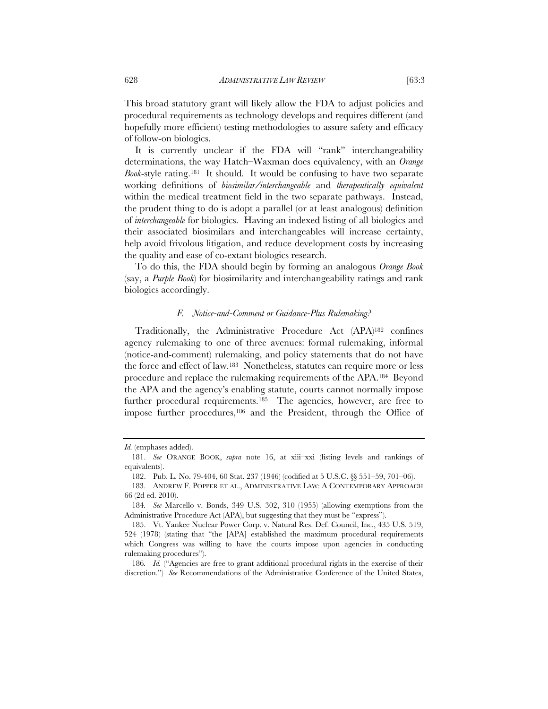This broad statutory grant will likely allow the FDA to adjust policies and procedural requirements as technology develops and requires different (and hopefully more efficient) testing methodologies to assure safety and efficacy of follow-on biologics.

It is currently unclear if the FDA will "rank" interchangeability determinations, the way Hatch–Waxman does equivalency, with an *Orange Book*-style rating.181 It should. It would be confusing to have two separate working definitions of *biosimilar/interchangeable* and *therapeutically equivalent* within the medical treatment field in the two separate pathways. Instead, the prudent thing to do is adopt a parallel (or at least analogous) definition of *interchangeable* for biologics. Having an indexed listing of all biologics and their associated biosimilars and interchangeables will increase certainty, help avoid frivolous litigation, and reduce development costs by increasing the quality and ease of co-extant biologics research.

To do this, the FDA should begin by forming an analogous *Orange Book* (say, a *Purple Book*) for biosimilarity and interchangeability ratings and rank biologics accordingly.

#### *F. Notice-and-Comment or Guidance-Plus Rulemaking?*

Traditionally, the Administrative Procedure Act (APA)182 confines agency rulemaking to one of three avenues: formal rulemaking, informal (notice-and-comment) rulemaking, and policy statements that do not have the force and effect of law.183 Nonetheless, statutes can require more or less procedure and replace the rulemaking requirements of the APA.184 Beyond the APA and the agency's enabling statute, courts cannot normally impose further procedural requirements.<sup>185</sup> The agencies, however, are free to impose further procedures,<sup>186</sup> and the President, through the Office of

*Id.* (emphases added).

 <sup>181.</sup> *See* ORANGE BOOK, *supra* note 16, at xiii–xxi (listing levels and rankings of equivalents).

<sup>182.</sup> Pub. L. No. 79-404, 60 Stat. 237 (1946) (codified at 5 U.S.C. §§ 551–59, 701–06).

 <sup>183.</sup> ANDREW F. POPPER ET AL., ADMINISTRATIVE LAW: A CONTEMPORARY APPROACH 66 (2d ed. 2010).

<sup>184</sup>*. See* Marcello v. Bonds, 349 U.S. 302, 310 (1955) (allowing exemptions from the Administrative Procedure Act (APA), but suggesting that they must be "express").

 <sup>185.</sup> Vt. Yankee Nuclear Power Corp. v. Natural Res. Def. Council, Inc., 435 U.S. 519, 524 (1978) (stating that "the [APA] established the maximum procedural requirements which Congress was willing to have the courts impose upon agencies in conducting rulemaking procedures").

<sup>186.</sup> Id. <sup>"Agencies are free to grant additional procedural rights in the exercise of their</sup> discretion.") *See* Recommendations of the Administrative Conference of the United States,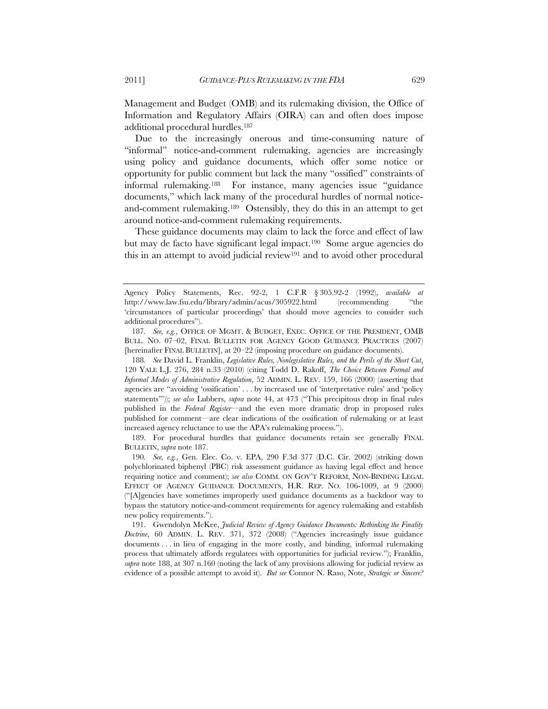Management and Budget (OMB) and its rulemaking division, the Office of Information and Regulatory Affairs (OIRA) can and often does impose additional procedural hurdles.187

Due to the increasingly onerous and time-consuming nature of "informal" notice-and-comment rulemaking, agencies are increasingly using policy and guidance documents, which offer some notice or opportunity for public comment but lack the many "ossified" constraints of informal rulemaking.188 For instance, many agencies issue "guidance documents," which lack many of the procedural hurdles of normal noticeand-comment rulemaking.189 Ostensibly, they do this in an attempt to get around notice-and-comment rulemaking requirements.

These guidance documents may claim to lack the force and effect of law but may de facto have significant legal impact.190 Some argue agencies do this in an attempt to avoid judicial review<sup>191</sup> and to avoid other procedural

188*. See* David L. Franklin, *Legislative Rules, Nonlegislative Rules, and the Perils of the Short Cut*, 120 YALE L.J. 276, 284 n.33 (2010) (citing Todd D. Rakoff, *The Choice Between Formal and Informal Modes of Administrative Regulation*, 52 ADMIN. L. REV. 159, 166 (2000) (asserting that agencies are "avoiding 'ossification' . . . by increased use of 'interpretative rules' and 'policy statements'")); *see also* Lubbers, *supra* note 44, at 473 ("This precipitous drop in final rules published in the *Federal Register*—and the even more dramatic drop in proposed rules published for comment—are clear indications of the ossification of rulemaking or at least increased agency reluctance to use the APA's rulemaking process.").

 189. For procedural hurdles that guidance documents retain see generally FINAL BULLETIN, *supra* note 187.

190*. See, e.g.*, Gen. Elec. Co. v. EPA, 290 F.3d 377 (D.C. Cir. 2002) (striking down polychlorinated biphenyl (PBC) risk assessment guidance as having legal effect and hence requiring notice and comment); *see also* COMM. ON GOV'T REFORM, NON-BINDING LEGAL EFFECT OF AGENCY GUIDANCE DOCUMENTS, H.R. REP. NO. 106-1009, at 9 (2000) ("[A]gencies have sometimes improperly used guidance documents as a backdoor way to bypass the statutory notice-and-comment requirements for agency rulemaking and establish new policy requirements.").

 191. Gwendolyn McKee, *Judicial Review of Agency Guidance Documents: Rethinking the Finality Doctrine*, 60 ADMIN. L. REV. 371, 372 (2008) ("Agencies increasingly issue guidance documents . . . in lieu of engaging in the more costly, and binding, informal rulemaking process that ultimately affords regulatees with opportunities for judicial review."); Franklin, *supra* note 188, at 307 n.160 (noting the lack of any provisions allowing for judicial review as evidence of a possible attempt to avoid it). *But see* Connor N. Raso, Note, *Strategic or Sincere?* 

Agency Policy Statements, Rec. 92-2, 1 C.F.R § 305.92-2 (1992), *available at*  http://www.law.fsu.edu/library/admin/acus/305922.html (recommending "the 'circumstances of particular proceedings' that should move agencies to consider such additional procedures").

<sup>187</sup>*. See, e.g.*, OFFICE OF MGMT. & BUDGET, EXEC. OFFICE OF THE PRESIDENT, OMB BULL. NO. 07–02, FINAL BULLETIN FOR AGENCY GOOD GUIDANCE PRACTICES (2007) [hereinafter FINAL BULLETIN], at 20–22 (imposing procedure on guidance documents).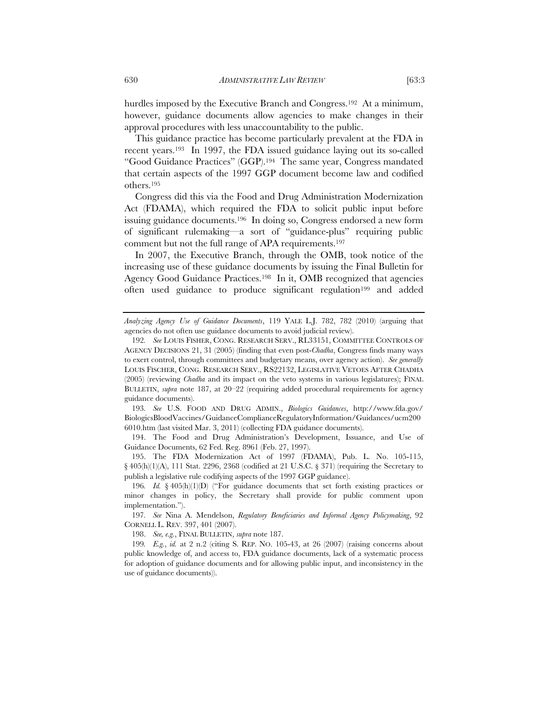hurdles imposed by the Executive Branch and Congress.<sup>192</sup> At a minimum, however, guidance documents allow agencies to make changes in their approval procedures with less unaccountability to the public.

This guidance practice has become particularly prevalent at the FDA in recent years.193 In 1997, the FDA issued guidance laying out its so-called "Good Guidance Practices" (GGP).194 The same year, Congress mandated that certain aspects of the 1997 GGP document become law and codified others.195

Congress did this via the Food and Drug Administration Modernization Act (FDAMA), which required the FDA to solicit public input before issuing guidance documents.196 In doing so, Congress endorsed a new form of significant rulemaking—a sort of "guidance-plus" requiring public comment but not the full range of APA requirements.197

In 2007, the Executive Branch, through the OMB, took notice of the increasing use of these guidance documents by issuing the Final Bulletin for Agency Good Guidance Practices.198 In it, OMB recognized that agencies often used guidance to produce significant regulation<sup>199</sup> and added

193*. See* U.S. FOOD AND DRUG ADMIN., *Biologics Guidances*, http://www.fda.gov/ BiologicsBloodVaccines/GuidanceComplianceRegulatoryInformation/Guidances/ucm200 6010.htm (last visited Mar. 3, 2011) (collecting FDA guidance documents).

 194. The Food and Drug Administration's Development, Issuance, and Use of Guidance Documents, 62 Fed. Reg. 8961 (Feb. 27, 1997).

 195. The FDA Modernization Act of 1997 (FDAMA), Pub. L. No. 105-115, § 405(h)(1)(A), 111 Stat. 2296, 2368 (codified at 21 U.S.C. § 371) (requiring the Secretary to publish a legislative rule codifying aspects of the 1997 GGP guidance).

198. *See, e.g.*, FINAL BULLETIN, *supra* note 187.

199*. E.g.*, *id.* at 2 n.2 (citing S. REP. NO. 105-43, at 26 (2007) (raising concerns about public knowledge of, and access to, FDA guidance documents, lack of a systematic process for adoption of guidance documents and for allowing public input, and inconsistency in the use of guidance documents)).

*Analyzing Agency Use of Guidance Documents*, 119 YALE L.J. 782, 782 (2010) (arguing that agencies do not often use guidance documents to avoid judicial review).

<sup>192</sup>*. See* LOUIS FISHER, CONG. RESEARCH SERV., RL33151, COMMITTEE CONTROLS OF AGENCY DECISIONS 21, 31 (2005) (finding that even post-*Chadha*, Congress finds many ways to exert control, through committees and budgetary means, over agency action). *See generally*  LOUIS FISCHER, CONG. RESEARCH SERV., RS22132, LEGISLATIVE VETOES AFTER CHADHA (2005) (reviewing *Chadha* and its impact on the veto systems in various legislatures); FINAL BULLETIN, *supra* note 187, at 20–22 (requiring added procedural requirements for agency guidance documents).

<sup>196</sup>*. Id.* § 405(h)(1)(D) ("For guidance documents that set forth existing practices or minor changes in policy, the Secretary shall provide for public comment upon implementation.").

<sup>197</sup>*. See* Nina A. Mendelson, *Regulatory Beneficiaries and Informal Agency Policymaking*, 92 CORNELL L. REV. 397, 401 (2007).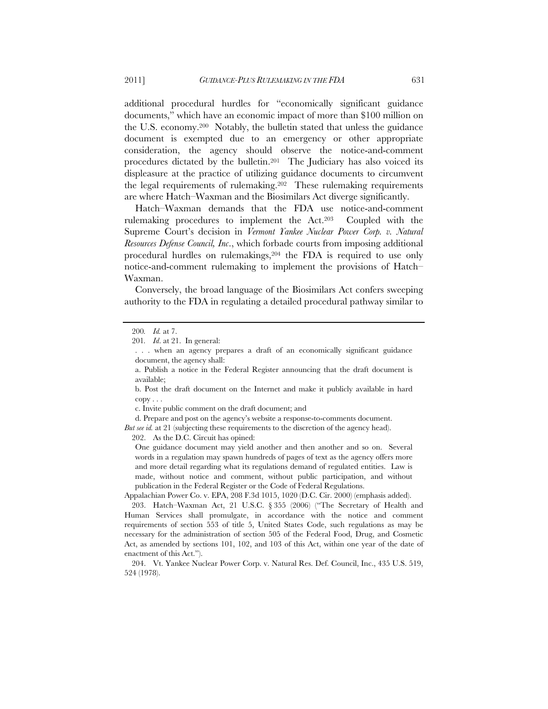additional procedural hurdles for "economically significant guidance documents," which have an economic impact of more than \$100 million on the U.S. economy.200 Notably, the bulletin stated that unless the guidance document is exempted due to an emergency or other appropriate consideration, the agency should observe the notice-and-comment procedures dictated by the bulletin.201 The Judiciary has also voiced its displeasure at the practice of utilizing guidance documents to circumvent the legal requirements of rulemaking.202 These rulemaking requirements are where Hatch–Waxman and the Biosimilars Act diverge significantly.

Hatch–Waxman demands that the FDA use notice-and-comment rulemaking procedures to implement the Act.203 Coupled with the Supreme Court's decision in *Vermont Yankee Nuclear Power Corp. v. Natural Resources Defense Council, Inc*., which forbade courts from imposing additional procedural hurdles on rulemakings,<sup>204</sup> the FDA is required to use only notice-and-comment rulemaking to implement the provisions of Hatch– Waxman.

Conversely, the broad language of the Biosimilars Act confers sweeping authority to the FDA in regulating a detailed procedural pathway similar to

c. Invite public comment on the draft document; and

d. Prepare and post on the agency's website a response-to-comments document. *But see id.* at 21 (subjecting these requirements to the discretion of the agency head).

202. As the D.C. Circuit has opined:

One guidance document may yield another and then another and so on. Several words in a regulation may spawn hundreds of pages of text as the agency offers more and more detail regarding what its regulations demand of regulated entities. Law is made, without notice and comment, without public participation, and without publication in the Federal Register or the Code of Federal Regulations.

Appalachian Power Co. v. EPA, 208 F.3d 1015, 1020 (D.C. Cir. 2000) (emphasis added).

<sup>200</sup>*. Id.* at 7.

<sup>201</sup>*. Id*. at 21. In general:

<sup>. . .</sup> when an agency prepares a draft of an economically significant guidance document, the agency shall:

a. Publish a notice in the Federal Register announcing that the draft document is available;

b. Post the draft document on the Internet and make it publicly available in hard copy . . .

 <sup>203.</sup> Hatch–Waxman Act, 21 U.S.C. § 355 (2006) ("The Secretary of Health and Human Services shall promulgate, in accordance with the notice and comment requirements of section 553 of title 5, United States Code, such regulations as may be necessary for the administration of section 505 of the Federal Food, Drug, and Cosmetic Act, as amended by sections 101, 102, and 103 of this Act, within one year of the date of enactment of this Act.").

 <sup>204.</sup> Vt. Yankee Nuclear Power Corp. v. Natural Res. Def. Council, Inc., 435 U.S. 519, 524 (1978).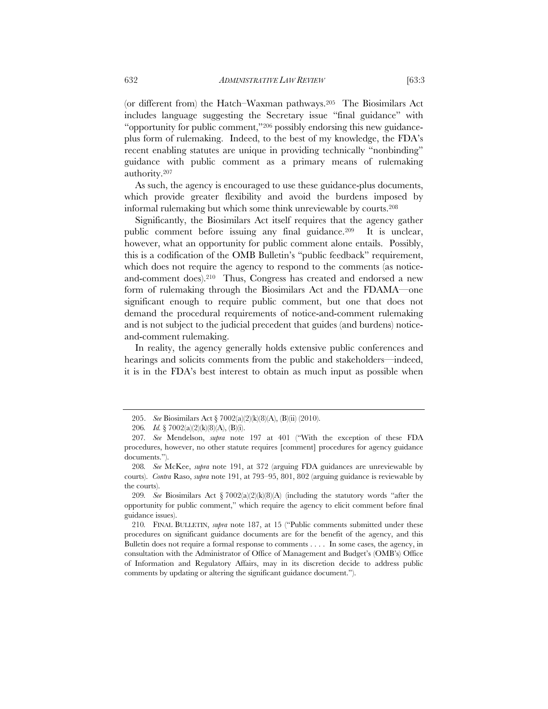(or different from) the Hatch–Waxman pathways.205 The Biosimilars Act includes language suggesting the Secretary issue "final guidance" with "opportunity for public comment,"206 possibly endorsing this new guidanceplus form of rulemaking. Indeed, to the best of my knowledge, the FDA's recent enabling statutes are unique in providing technically "nonbinding" guidance with public comment as a primary means of rulemaking authority.207

As such, the agency is encouraged to use these guidance-plus documents, which provide greater flexibility and avoid the burdens imposed by informal rulemaking but which some think unreviewable by courts.208

Significantly, the Biosimilars Act itself requires that the agency gather public comment before issuing any final guidance.209 It is unclear, however, what an opportunity for public comment alone entails. Possibly, this is a codification of the OMB Bulletin's "public feedback" requirement, which does not require the agency to respond to the comments (as noticeand-comment does).210 Thus, Congress has created and endorsed a new form of rulemaking through the Biosimilars Act and the FDAMA—one significant enough to require public comment, but one that does not demand the procedural requirements of notice-and-comment rulemaking and is not subject to the judicial precedent that guides (and burdens) noticeand-comment rulemaking.

In reality, the agency generally holds extensive public conferences and hearings and solicits comments from the public and stakeholders—indeed, it is in the FDA's best interest to obtain as much input as possible when

209*. See* Biosimilars Act § 7002(a)(2)(k)(8)(A) (including the statutory words "after the opportunity for public comment," which require the agency to elicit comment before final guidance issues).

210*.* FINAL BULLETIN, *supra* note 187, at 15 ("Public comments submitted under these procedures on significant guidance documents are for the benefit of the agency, and this Bulletin does not require a formal response to comments . . . . In some cases, the agency, in consultation with the Administrator of Office of Management and Budget's (OMB's) Office of Information and Regulatory Affairs, may in its discretion decide to address public comments by updating or altering the significant guidance document.").

 <sup>205.</sup> *See* Biosimilars Act § 7002(a)(2)(k)(8)(A), (B)(ii) (2010).

<sup>206</sup>*. Id.* § 7002(a)(2)(k)(8)(A), (B)(i).

<sup>207</sup>*. See* Mendelson, *supra* note 197 at 401 ("With the exception of these FDA procedures, however, no other statute requires [comment] procedures for agency guidance documents.").

<sup>208</sup>*. See* McKee, *supra* note 191, at 372 (arguing FDA guidances are unreviewable by courts). *Contra* Raso, *supra* note 191, at 793–95, 801, 802 (arguing guidance is reviewable by the courts).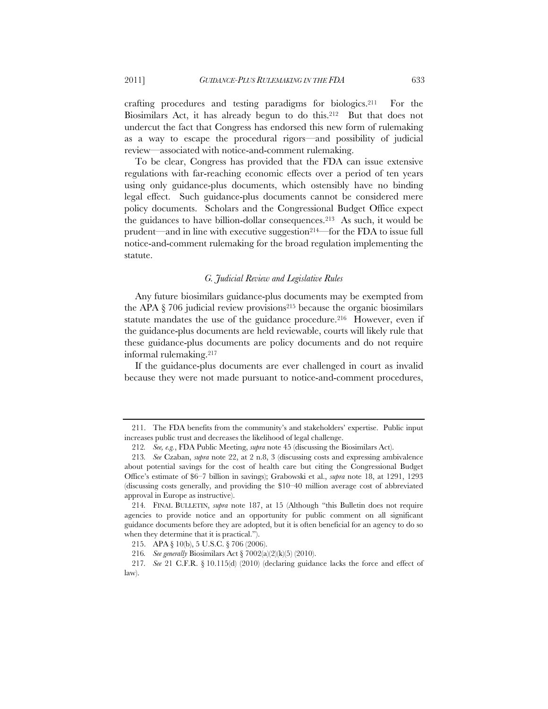crafting procedures and testing paradigms for biologics.211 For the Biosimilars Act, it has already begun to do this.212 But that does not undercut the fact that Congress has endorsed this new form of rulemaking as a way to escape the procedural rigors—and possibility of judicial review—associated with notice-and-comment rulemaking.

To be clear, Congress has provided that the FDA can issue extensive regulations with far-reaching economic effects over a period of ten years using only guidance-plus documents, which ostensibly have no binding legal effect. Such guidance-plus documents cannot be considered mere policy documents. Scholars and the Congressional Budget Office expect the guidances to have billion-dollar consequences.213 As such, it would be prudent—and in line with executive suggestion214—for the FDA to issue full notice-and-comment rulemaking for the broad regulation implementing the statute.

#### *G. Judicial Review and Legislative Rules*

Any future biosimilars guidance-plus documents may be exempted from the APA  $\S 706$  judicial review provisions<sup>215</sup> because the organic biosimilars statute mandates the use of the guidance procedure.<sup>216</sup> However, even if the guidance-plus documents are held reviewable, courts will likely rule that these guidance-plus documents are policy documents and do not require informal rulemaking.217

If the guidance-plus documents are ever challenged in court as invalid because they were not made pursuant to notice-and-comment procedures,

 <sup>211.</sup> The FDA benefits from the community's and stakeholders' expertise. Public input increases public trust and decreases the likelihood of legal challenge.

<sup>212</sup>*. See, e.g.*, FDA Public Meeting, *supra* note 45 (discussing the Biosimilars Act).

<sup>213</sup>*. See* Czaban, *supra* note 22, at 2 n.8, 3 (discussing costs and expressing ambivalence about potential savings for the cost of health care but citing the Congressional Budget Office's estimate of \$6–7 billion in savings); Grabowski et al., *supra* note 18, at 1291, 1293 (discussing costs generally, and providing the \$10–40 million average cost of abbreviated approval in Europe as instructive).

<sup>214</sup>*.* FINAL BULLETIN, *supra* note 187, at 15 (Although "this Bulletin does not require agencies to provide notice and an opportunity for public comment on all significant guidance documents before they are adopted, but it is often beneficial for an agency to do so when they determine that it is practical.").

<sup>215.</sup> APA § 10(b), 5 U.S.C. § 706 (2006).

<sup>216</sup>*. See generally* Biosimilars Act § 7002(a)(2)(k)(5) (2010).

<sup>217</sup>*. See* 21 C.F.R. § 10.115(d) (2010) (declaring guidance lacks the force and effect of law).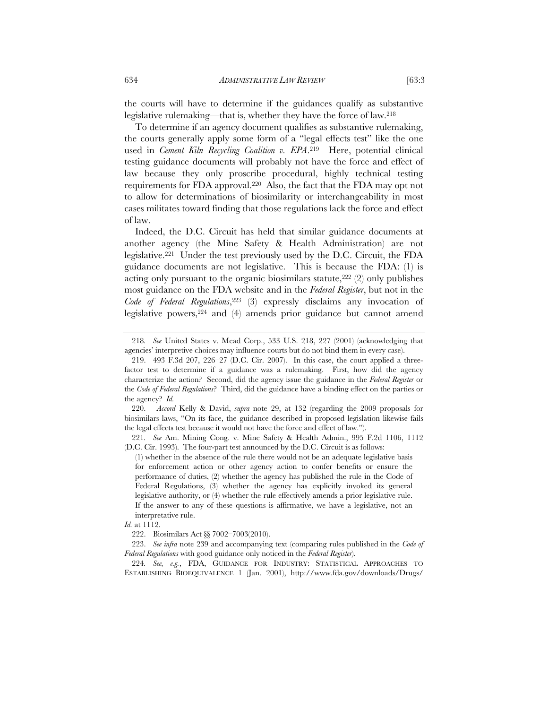the courts will have to determine if the guidances qualify as substantive legislative rulemaking—that is, whether they have the force of law.218

To determine if an agency document qualifies as substantive rulemaking, the courts generally apply some form of a "legal effects test" like the one used in *Cement Kiln Recycling Coalition v. EPA*.219 Here, potential clinical testing guidance documents will probably not have the force and effect of law because they only proscribe procedural, highly technical testing requirements for FDA approval.220 Also, the fact that the FDA may opt not to allow for determinations of biosimilarity or interchangeability in most cases militates toward finding that those regulations lack the force and effect of law.

Indeed, the D.C. Circuit has held that similar guidance documents at another agency (the Mine Safety & Health Administration) are not legislative.221 Under the test previously used by the D.C. Circuit, the FDA guidance documents are not legislative. This is because the FDA: (1) is acting only pursuant to the organic biosimilars statute,  $222$  (2) only publishes most guidance on the FDA website and in the *Federal Register*, but not in the *Code of Federal Regulations*,223 (3) expressly disclaims any invocation of legislative powers,<sup>224</sup> and (4) amends prior guidance but cannot amend

<sup>218</sup>*. See* United States v. Mead Corp., 533 U.S. 218, 227 (2001) (acknowledging that agencies' interpretive choices may influence courts but do not bind them in every case).

 <sup>219. 493</sup> F.3d 207, 226–27 (D.C. Cir. 2007). In this case, the court applied a threefactor test to determine if a guidance was a rulemaking. First, how did the agency characterize the action? Second, did the agency issue the guidance in the *Federal Register* or the *Code of Federal Regulations*? Third, did the guidance have a binding effect on the parties or the agency? *Id.*

 <sup>220.</sup> *Accord* Kelly & David, *supra* note 29, at 132 (regarding the 2009 proposals for biosimilars laws, "On its face, the guidance described in proposed legislation likewise fails the legal effects test because it would not have the force and effect of law.").

<sup>221</sup>*. See* Am. Mining Cong. v. Mine Safety & Health Admin., 995 F.2d 1106, 1112 (D.C. Cir. 1993). The four-part test announced by the D.C. Circuit is as follows:

<sup>(1)</sup> whether in the absence of the rule there would not be an adequate legislative basis for enforcement action or other agency action to confer benefits or ensure the performance of duties, (2) whether the agency has published the rule in the Code of Federal Regulations, (3) whether the agency has explicitly invoked its general legislative authority, or (4) whether the rule effectively amends a prior legislative rule. If the answer to any of these questions is affirmative, we have a legislative, not an interpretative rule.

*Id.* at 1112.

<sup>222.</sup> Biosimilars Act §§ 7002–7003(2010).

 <sup>223.</sup> *See infra* note 239 and accompanying text (comparing rules published in the *Code of Federal Regulations* with good guidance only noticed in the *Federal Register*).

<sup>224</sup>*. See, e.g.*, FDA, GUIDANCE FOR INDUSTRY: STATISTICAL APPROACHES TO ESTABLISHING BIOEQUIVALENCE 1 (Jan. 2001), http://www.fda.gov/downloads/Drugs/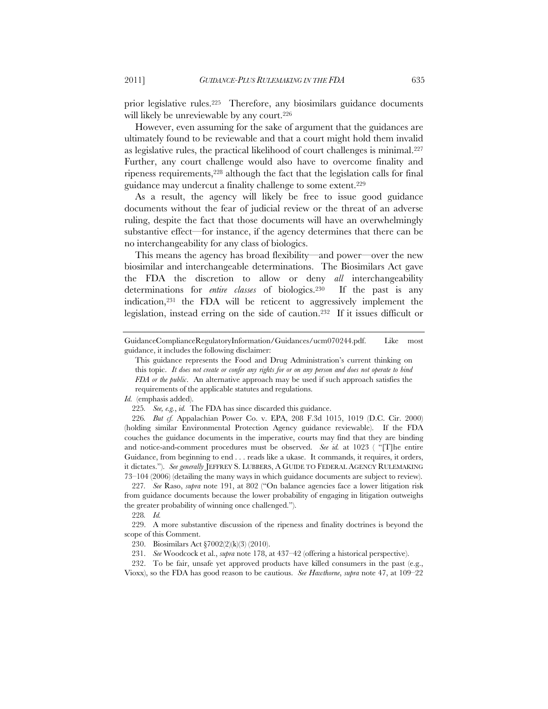prior legislative rules.225 Therefore, any biosimilars guidance documents will likely be unreviewable by any court.<sup>226</sup>

However, even assuming for the sake of argument that the guidances are ultimately found to be reviewable and that a court might hold them invalid as legislative rules, the practical likelihood of court challenges is minimal.227 Further, any court challenge would also have to overcome finality and ripeness requirements,228 although the fact that the legislation calls for final guidance may undercut a finality challenge to some extent.229

As a result, the agency will likely be free to issue good guidance documents without the fear of judicial review or the threat of an adverse ruling, despite the fact that those documents will have an overwhelmingly substantive effect—for instance, if the agency determines that there can be no interchangeability for any class of biologics.

This means the agency has broad flexibility—and power—over the new biosimilar and interchangeable determinations. The Biosimilars Act gave the FDA the discretion to allow or deny *all* interchangeability determinations for *entire classes* of biologics.230 If the past is any indication,231 the FDA will be reticent to aggressively implement the legislation, instead erring on the side of caution.232 If it issues difficult or

GuidanceComplianceRegulatoryInformation/Guidances/ucm070244.pdf. Like most guidance, it includes the following disclaimer:

This guidance represents the Food and Drug Administration's current thinking on this topic. *It does not create or confer any rights for or on any person and does not operate to bind FDA or the public*. An alternative approach may be used if such approach satisfies the requirements of the applicable statutes and regulations.

*Id.* (emphasis added).

<sup>225</sup>*. See, e.g.*, *id.* The FDA has since discarded this guidance.

<sup>226</sup>*. But cf.* Appalachian Power Co. v. EPA, 208 F.3d 1015, 1019 (D.C. Cir. 2000) (holding similar Environmental Protection Agency guidance reviewable). If the FDA couches the guidance documents in the imperative, courts may find that they are binding and notice-and-comment procedures must be observed. *See id.* at 1023 ( "[T]he entire Guidance, from beginning to end . . . reads like a ukase. It commands, it requires, it orders, it dictates."). *See generally* JEFFREY S. LUBBERS, A GUIDE TO FEDERAL AGENCY RULEMAKING 73–104 (2006) (detailing the many ways in which guidance documents are subject to review).

<sup>227</sup>*. See* Raso, *supra* note 191, at 802 ("On balance agencies face a lower litigation risk from guidance documents because the lower probability of engaging in litigation outweighs the greater probability of winning once challenged.").

<sup>228</sup>*. Id.* 

 <sup>229.</sup> A more substantive discussion of the ripeness and finality doctrines is beyond the scope of this Comment.

<sup>230.</sup> Biosimilars Act §7002(2)(k)(3) (2010).

 <sup>231.</sup> *See* Woodcock et al., *supra* note 178, at 437–42 (offering a historical perspective).

<sup>232.</sup> To be fair, unsafe yet approved products have killed consumers in the past (e.g., Vioxx), so the FDA has good reason to be cautious. *See Hawthorne*, *supra* note 47, at 109–22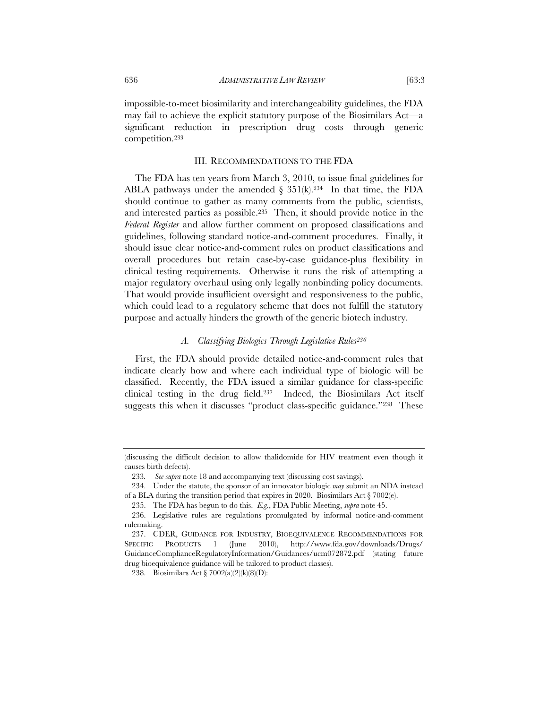impossible-to-meet biosimilarity and interchangeability guidelines, the FDA may fail to achieve the explicit statutory purpose of the Biosimilars Act—a significant reduction in prescription drug costs through generic competition.233

#### III. RECOMMENDATIONS TO THE FDA

The FDA has ten years from March 3, 2010, to issue final guidelines for ABLA pathways under the amended  $\S$  351(k).<sup>234</sup> In that time, the FDA should continue to gather as many comments from the public, scientists, and interested parties as possible.235 Then, it should provide notice in the *Federal Register* and allow further comment on proposed classifications and guidelines, following standard notice-and-comment procedures. Finally, it should issue clear notice-and-comment rules on product classifications and overall procedures but retain case-by-case guidance-plus flexibility in clinical testing requirements. Otherwise it runs the risk of attempting a major regulatory overhaul using only legally nonbinding policy documents. That would provide insufficient oversight and responsiveness to the public, which could lead to a regulatory scheme that does not fulfill the statutory purpose and actually hinders the growth of the generic biotech industry.

## *A. Classifying Biologics Through Legislative Rules236*

First, the FDA should provide detailed notice-and-comment rules that indicate clearly how and where each individual type of biologic will be classified. Recently, the FDA issued a similar guidance for class-specific clinical testing in the drug field.237 Indeed, the Biosimilars Act itself suggests this when it discusses "product class-specific guidance."<sup>238</sup> These

<sup>(</sup>discussing the difficult decision to allow thalidomide for HIV treatment even though it causes birth defects).

<sup>233</sup>*. See supra* note 18 and accompanying text (discussing cost savings).

 <sup>234.</sup> Under the statute, the sponsor of an innovator biologic *may* submit an NDA instead of a BLA during the transition period that expires in 2020. Biosimilars Act § 7002(e).

<sup>235.</sup> The FDA has begun to do this. *E.g.*, FDA Public Meeting, *supra* note 45.

<sup>236.</sup> Legislative rules are regulations promulgated by informal notice-and-comment rulemaking.

 <sup>237.</sup> CDER, GUIDANCE FOR INDUSTRY, BIOEQUIVALENCE RECOMMENDATIONS FOR SPECIFIC PRODUCTS 1 (June 2010), http://www.fda.gov/downloads/Drugs/ GuidanceComplianceRegulatoryInformation/Guidances/ucm072872.pdf (stating future drug bioequivalence guidance will be tailored to product classes).

<sup>238.</sup> Biosimilars Act § 7002(a)(2)(k)(8)(D):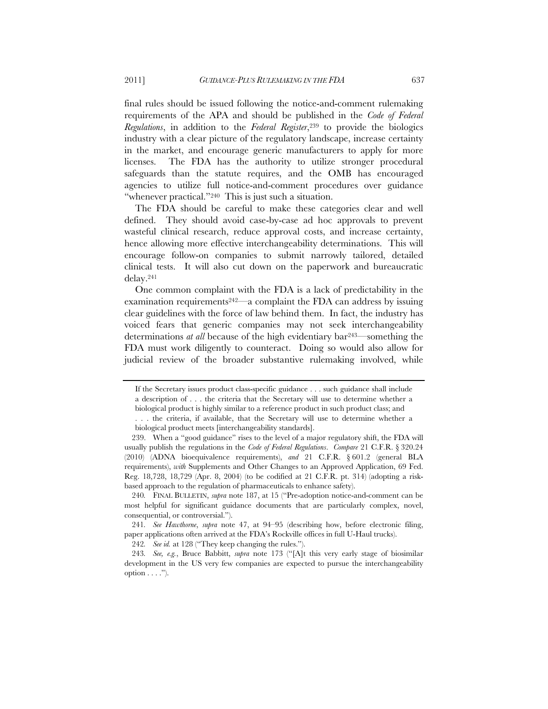final rules should be issued following the notice-and-comment rulemaking requirements of the APA and should be published in the *Code of Federal Regulations*, in addition to the *Federal Register*,239 to provide the biologics industry with a clear picture of the regulatory landscape, increase certainty in the market, and encourage generic manufacturers to apply for more licenses. The FDA has the authority to utilize stronger procedural safeguards than the statute requires, and the OMB has encouraged agencies to utilize full notice-and-comment procedures over guidance "whenever practical."<sup>240</sup> This is just such a situation.

The FDA should be careful to make these categories clear and well defined. They should avoid case-by-case ad hoc approvals to prevent wasteful clinical research, reduce approval costs, and increase certainty, hence allowing more effective interchangeability determinations. This will encourage follow-on companies to submit narrowly tailored, detailed clinical tests. It will also cut down on the paperwork and bureaucratic delay.241

One common complaint with the FDA is a lack of predictability in the examination requirements<sup>242—</sup>a complaint the FDA can address by issuing clear guidelines with the force of law behind them. In fact, the industry has voiced fears that generic companies may not seek interchangeability determinations *at all* because of the high evidentiary bar243—something the FDA must work diligently to counteract. Doing so would also allow for judicial review of the broader substantive rulemaking involved, while

If the Secretary issues product class-specific guidance . . . such guidance shall include a description of . . . the criteria that the Secretary will use to determine whether a biological product is highly similar to a reference product in such product class; and . . . the criteria, if available, that the Secretary will use to determine whether a

biological product meets [interchangeability standards].

 <sup>239.</sup> When a "good guidance" rises to the level of a major regulatory shift, the FDA will usually publish the regulations in the *Code of Federal Regulations*. *Compare* 21 C.F.R. § 320.24 (2010) (ADNA bioequivalence requirements), *and* 21 C.F.R. § 601.2 (general BLA requirements), *with* Supplements and Other Changes to an Approved Application, 69 Fed. Reg. 18,728, 18,729 (Apr. 8, 2004) (to be codified at 21 C.F.R. pt. 314) (adopting a riskbased approach to the regulation of pharmaceuticals to enhance safety).

<sup>240</sup>*.* FINAL BULLETIN, *supra* note 187, at 15 ("Pre-adoption notice-and-comment can be most helpful for significant guidance documents that are particularly complex, novel, consequential, or controversial.").

<sup>241</sup>*. See Hawthorne*, *supra* note 47, at 94–95 (describing how, before electronic filing, paper applications often arrived at the FDA's Rockville offices in full U-Haul trucks).

<sup>242</sup>*. See id.* at 128 ("They keep changing the rules.").

<sup>243</sup>*. See, e.g.*, Bruce Babbitt, *supra* note 173 ("[A]t this very early stage of biosimilar development in the US very few companies are expected to pursue the interchangeability option  $\dots$ .").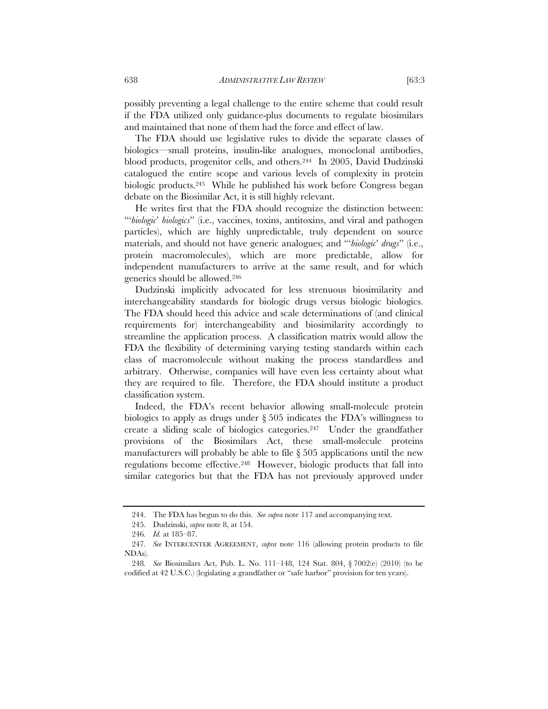possibly preventing a legal challenge to the entire scheme that could result if the FDA utilized only guidance-plus documents to regulate biosimilars and maintained that none of them had the force and effect of law.

The FDA should use legislative rules to divide the separate classes of biologics—small proteins, insulin-like analogues, monoclonal antibodies, blood products, progenitor cells, and others.244 In 2005, David Dudzinski catalogued the entire scope and various levels of complexity in protein biologic products.245 While he published his work before Congress began debate on the Biosimilar Act, it is still highly relevant.

He writes first that the FDA should recognize the distinction between: "'*biologic*' *biologics*" (i.e., vaccines, toxins, antitoxins, and viral and pathogen particles), which are highly unpredictable, truly dependent on source materials, and should not have generic analogues; and "'*biologic*' *drugs*" (i.e., protein macromolecules), which are more predictable, allow for independent manufacturers to arrive at the same result, and for which generics should be allowed.246

Dudzinski implicitly advocated for less strenuous biosimilarity and interchangeability standards for biologic drugs versus biologic biologics. The FDA should heed this advice and scale determinations of (and clinical requirements for) interchangeability and biosimilarity accordingly to streamline the application process. A classification matrix would allow the FDA the flexibility of determining varying testing standards within each class of macromolecule without making the process standardless and arbitrary. Otherwise, companies will have even less certainty about what they are required to file. Therefore, the FDA should institute a product classification system.

Indeed, the FDA's recent behavior allowing small-molecule protein biologics to apply as drugs under § 505 indicates the FDA's willingness to create a sliding scale of biologics categories.247 Under the grandfather provisions of the Biosimilars Act, these small-molecule proteins manufacturers will probably be able to file  $\S 505$  applications until the new regulations become effective.248 However, biologic products that fall into similar categories but that the FDA has not previously approved under

<sup>244.</sup> The FDA has begun to do this. *See supra* note 117 and accompanying text.

 <sup>245.</sup> Dudzinski, *supra* note 8, at 154.

<sup>246</sup>*. Id.* at 185–87.

<sup>247</sup>*. See* INTERCENTER AGREEMENT, *supra* note 116 (allowing protein products to file NDAs).

<sup>248</sup>*. See* Biosimilars Act, Pub. L. No. 111–148, 124 Stat. 804, § 7002(e) (2010) (to be codified at 42 U.S.C.) (legislating a grandfather or "safe harbor" provision for ten years).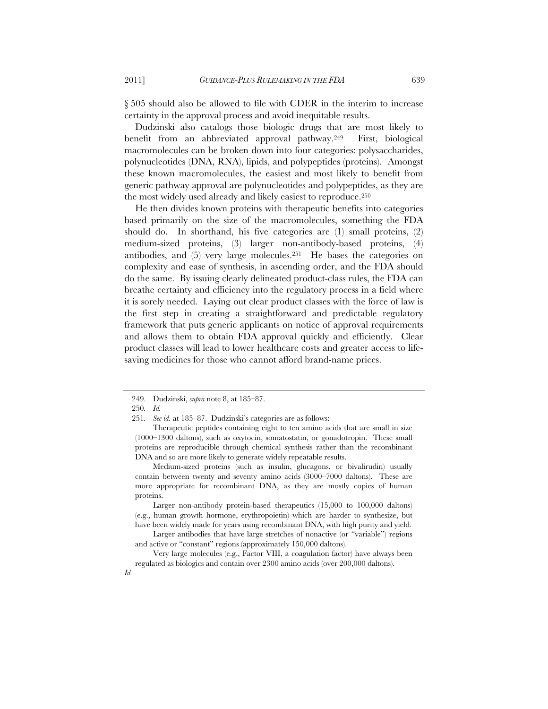§ 505 should also be allowed to file with CDER in the interim to increase certainty in the approval process and avoid inequitable results.

Dudzinski also catalogs those biologic drugs that are most likely to benefit from an abbreviated approval pathway.249 First, biological macromolecules can be broken down into four categories: polysaccharides, polynucleotides (DNA, RNA), lipids, and polypeptides (proteins). Amongst these known macromolecules, the easiest and most likely to benefit from generic pathway approval are polynucleotides and polypeptides, as they are the most widely used already and likely easiest to reproduce.250

He then divides known proteins with therapeutic benefits into categories based primarily on the size of the macromolecules, something the FDA should do. In shorthand, his five categories are (1) small proteins, (2) medium-sized proteins, (3) larger non-antibody-based proteins, (4) antibodies, and  $(5)$  very large molecules.<sup>251</sup> He bases the categories on complexity and ease of synthesis, in ascending order, and the FDA should do the same. By issuing clearly delineated product-class rules, the FDA can breathe certainty and efficiency into the regulatory process in a field where it is sorely needed. Laying out clear product classes with the force of law is the first step in creating a straightforward and predictable regulatory framework that puts generic applicants on notice of approval requirements and allows them to obtain FDA approval quickly and efficiently. Clear product classes will lead to lower healthcare costs and greater access to lifesaving medicines for those who cannot afford brand-name prices.

 Larger non-antibody protein-based therapeutics (15,000 to 100,000 daltons) (e.g., human growth hormone, erythropoietin) which are harder to synthesize, but have been widely made for years using recombinant DNA, with high purity and yield.

 Larger antibodies that have large stretches of nonactive (or "variable") regions and active or "constant" regions (approximately 150,000 daltons).

 Very large molecules (e.g., Factor VIII, a coagulation factor) have always been regulated as biologics and contain over 2300 amino acids (over 200,000 daltons).

 <sup>249.</sup> Dudzinski, *supra* note 8, at 185–87.

<sup>250</sup>*. Id.*

<sup>251</sup>*. See id.* at 185–87. Dudzinski's categories are as follows:

Therapeutic peptides containing eight to ten amino acids that are small in size (1000–1300 daltons), such as oxytocin, somatostatin, or gonadotropin. These small proteins are reproducible through chemical synthesis rather than the recombinant DNA and so are more likely to generate widely repeatable results.

Medium-sized proteins (such as insulin, glucagons, or bivalirudin) usually contain between twenty and seventy amino acids (3000–7000 daltons). These are more appropriate for recombinant DNA, as they are mostly copies of human proteins.

*Id.*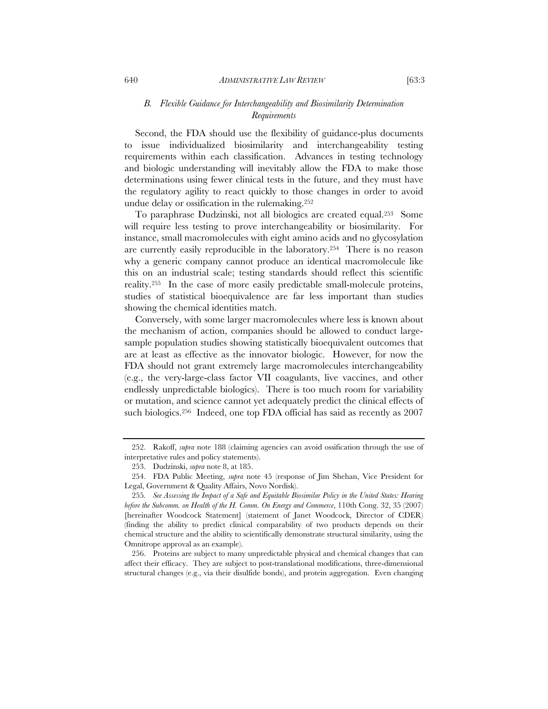## *B. Flexible Guidance for Interchangeability and Biosimilarity Determination Requirements*

Second, the FDA should use the flexibility of guidance-plus documents to issue individualized biosimilarity and interchangeability testing requirements within each classification. Advances in testing technology and biologic understanding will inevitably allow the FDA to make those determinations using fewer clinical tests in the future, and they must have the regulatory agility to react quickly to those changes in order to avoid undue delay or ossification in the rulemaking.252

To paraphrase Dudzinski, not all biologics are created equal.253 Some will require less testing to prove interchangeability or biosimilarity. For instance, small macromolecules with eight amino acids and no glycosylation are currently easily reproducible in the laboratory.254 There is no reason why a generic company cannot produce an identical macromolecule like this on an industrial scale; testing standards should reflect this scientific reality.255 In the case of more easily predictable small-molecule proteins, studies of statistical bioequivalence are far less important than studies showing the chemical identities match.

Conversely, with some larger macromolecules where less is known about the mechanism of action, companies should be allowed to conduct largesample population studies showing statistically bioequivalent outcomes that are at least as effective as the innovator biologic. However, for now the FDA should not grant extremely large macromolecules interchangeability (e.g., the very-large-class factor VII coagulants, live vaccines, and other endlessly unpredictable biologics). There is too much room for variability or mutation, and science cannot yet adequately predict the clinical effects of such biologics.256 Indeed, one top FDA official has said as recently as 2007

 <sup>252.</sup> Rakoff, *supra* note 188 (claiming agencies can avoid ossification through the use of interpretative rules and policy statements).

 <sup>253.</sup> Dudzinski, *supra* note 8, at 185.

 <sup>254.</sup> FDA Public Meeting, *supra* note 45 (response of Jim Shehan, Vice President for Legal, Government & Quality Affairs, Novo Nordisk).

<sup>255</sup>*. See Assessing the Impact of a Safe and Equitable Biosimilar Policy in the United States: Hearing before the Subcomm. on Health of the H. Comm. On Energy and Commerce*, 110th Cong. 32, 35 (2007) [hereinafter Woodcock Statement] (statement of Janet Woodcock, Director of CDER) (finding the ability to predict clinical comparability of two products depends on their chemical structure and the ability to scientifically demonstrate structural similarity, using the Omnitrope approval as an example).

 <sup>256.</sup> Proteins are subject to many unpredictable physical and chemical changes that can affect their efficacy. They are subject to post-translational modifications, three-dimensional structural changes (e.g., via their disulfide bonds), and protein aggregation. Even changing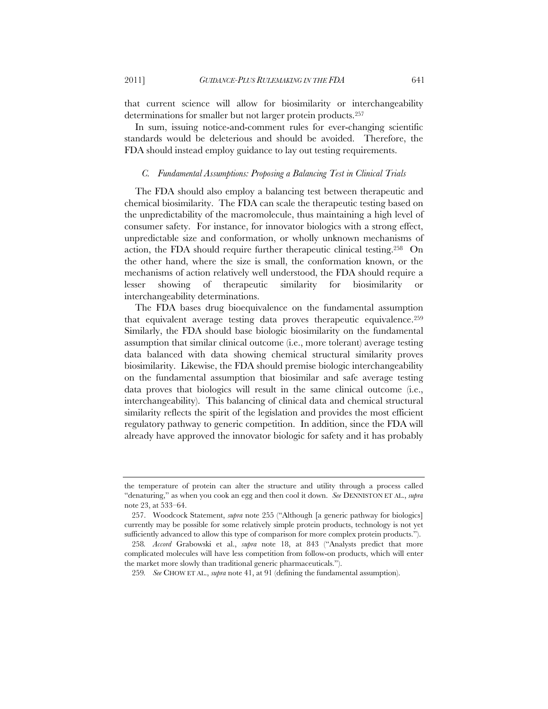that current science will allow for biosimilarity or interchangeability determinations for smaller but not larger protein products.257

In sum, issuing notice-and-comment rules for ever-changing scientific standards would be deleterious and should be avoided. Therefore, the FDA should instead employ guidance to lay out testing requirements.

#### *C. Fundamental Assumptions: Proposing a Balancing Test in Clinical Trials*

The FDA should also employ a balancing test between therapeutic and chemical biosimilarity. The FDA can scale the therapeutic testing based on the unpredictability of the macromolecule, thus maintaining a high level of consumer safety. For instance, for innovator biologics with a strong effect, unpredictable size and conformation, or wholly unknown mechanisms of action, the FDA should require further therapeutic clinical testing.258 On the other hand, where the size is small, the conformation known, or the mechanisms of action relatively well understood, the FDA should require a lesser showing of therapeutic similarity for biosimilarity or interchangeability determinations.

The FDA bases drug bioequivalence on the fundamental assumption that equivalent average testing data proves therapeutic equivalence.259 Similarly, the FDA should base biologic biosimilarity on the fundamental assumption that similar clinical outcome (i.e., more tolerant) average testing data balanced with data showing chemical structural similarity proves biosimilarity. Likewise, the FDA should premise biologic interchangeability on the fundamental assumption that biosimilar and safe average testing data proves that biologics will result in the same clinical outcome (i.e., interchangeability). This balancing of clinical data and chemical structural similarity reflects the spirit of the legislation and provides the most efficient regulatory pathway to generic competition. In addition, since the FDA will already have approved the innovator biologic for safety and it has probably

the temperature of protein can alter the structure and utility through a process called "denaturing," as when you cook an egg and then cool it down. *See* DENNISTON ET AL., *supra*  note 23, at 533–64.

 <sup>257.</sup> Woodcock Statement, *supra* note 255 ("Although [a generic pathway for biologics] currently may be possible for some relatively simple protein products, technology is not yet sufficiently advanced to allow this type of comparison for more complex protein products.").

<sup>258</sup>*. Accord* Grabowski et al., *supra* note 18, at 843 ("Analysts predict that more complicated molecules will have less competition from follow-on products, which will enter the market more slowly than traditional generic pharmaceuticals.").

<sup>259</sup>*. See* CHOW ET AL., *supra* note 41, at 91 (defining the fundamental assumption).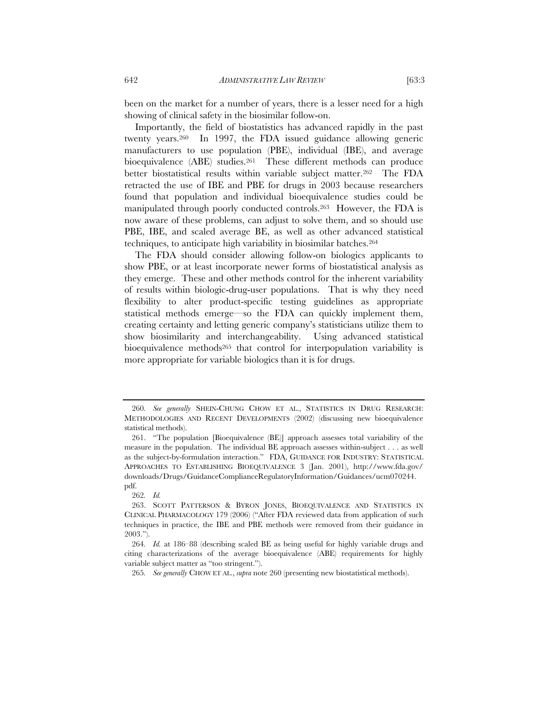been on the market for a number of years, there is a lesser need for a high showing of clinical safety in the biosimilar follow-on.

Importantly, the field of biostatistics has advanced rapidly in the past twenty years.260 In 1997, the FDA issued guidance allowing generic manufacturers to use population (PBE), individual (IBE), and average bioequivalence (ABE) studies.261 These different methods can produce better biostatistical results within variable subject matter.262 The FDA retracted the use of IBE and PBE for drugs in 2003 because researchers found that population and individual bioequivalence studies could be manipulated through poorly conducted controls.263 However, the FDA is now aware of these problems, can adjust to solve them, and so should use PBE, IBE, and scaled average BE, as well as other advanced statistical techniques, to anticipate high variability in biosimilar batches.264

The FDA should consider allowing follow-on biologics applicants to show PBE, or at least incorporate newer forms of biostatistical analysis as they emerge. These and other methods control for the inherent variability of results within biologic-drug-user populations. That is why they need flexibility to alter product-specific testing guidelines as appropriate statistical methods emerge—so the FDA can quickly implement them, creating certainty and letting generic company's statisticians utilize them to show biosimilarity and interchangeability. Using advanced statistical bioequivalence methods<sup>265</sup> that control for interpopulation variability is more appropriate for variable biologics than it is for drugs.

<sup>260</sup>*. See generally* SHEIN-CHUNG CHOW ET AL., STATISTICS IN DRUG RESEARCH: METHODOLOGIES AND RECENT DEVELOPMENTS (2002) (discussing new bioequivalence statistical methods).

 <sup>261. &</sup>quot;The population [Bioequivalence (BE)] approach assesses total variability of the measure in the population. The individual BE approach assesses within-subject . . . as well as the subject-by-formulation interaction." FDA, GUIDANCE FOR INDUSTRY: STATISTICAL APPROACHES TO ESTABLISHING BIOEQUIVALENCE 3 (Jan. 2001), http://www.fda.gov/ downloads/Drugs/GuidanceComplianceRegulatoryInformation/Guidances/ucm070244. pdf.

<sup>262</sup>*. Id.*

 <sup>263.</sup> SCOTT PATTERSON & BYRON JONES, BIOEQUIVALENCE AND STATISTICS IN CLINICAL PHARMACOLOGY 179 (2006) ("After FDA reviewed data from application of such techniques in practice, the IBE and PBE methods were removed from their guidance in 2003.").

<sup>264</sup>*. Id.* at 186–88 (describing scaled BE as being useful for highly variable drugs and citing characterizations of the average bioequivalence (ABE) requirements for highly variable subject matter as "too stringent.").

<sup>265</sup>*. See generally* CHOW ET AL., *supra* note 260 (presenting new biostatistical methods).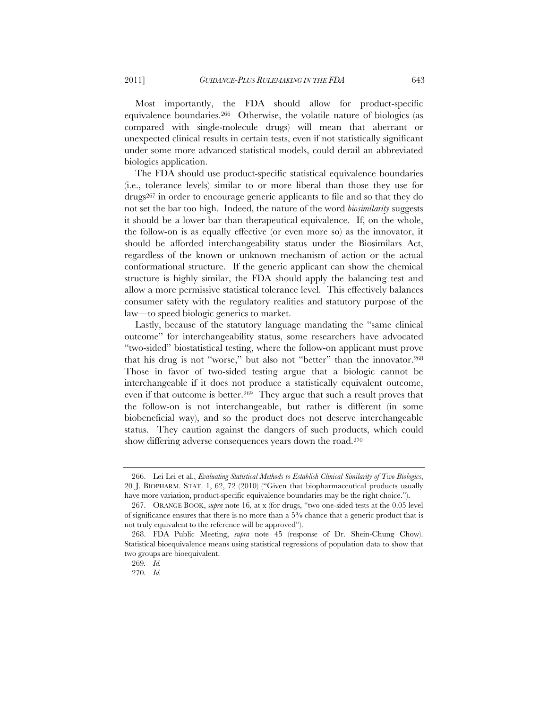Most importantly, the FDA should allow for product-specific equivalence boundaries.266 Otherwise, the volatile nature of biologics (as compared with single-molecule drugs) will mean that aberrant or unexpected clinical results in certain tests, even if not statistically significant under some more advanced statistical models, could derail an abbreviated biologics application.

The FDA should use product-specific statistical equivalence boundaries (i.e., tolerance levels) similar to or more liberal than those they use for drugs267 in order to encourage generic applicants to file and so that they do not set the bar too high. Indeed, the nature of the word *biosimilarity* suggests it should be a lower bar than therapeutical equivalence. If, on the whole, the follow-on is as equally effective (or even more so) as the innovator, it should be afforded interchangeability status under the Biosimilars Act, regardless of the known or unknown mechanism of action or the actual conformational structure. If the generic applicant can show the chemical structure is highly similar, the FDA should apply the balancing test and allow a more permissive statistical tolerance level. This effectively balances consumer safety with the regulatory realities and statutory purpose of the law—to speed biologic generics to market.

Lastly, because of the statutory language mandating the "same clinical outcome" for interchangeability status, some researchers have advocated "two-sided" biostatistical testing, where the follow-on applicant must prove that his drug is not "worse," but also not "better" than the innovator.268 Those in favor of two-sided testing argue that a biologic cannot be interchangeable if it does not produce a statistically equivalent outcome, even if that outcome is better.<sup>269</sup> They argue that such a result proves that the follow-on is not interchangeable, but rather is different (in some biobeneficial way), and so the product does not deserve interchangeable status. They caution against the dangers of such products, which could show differing adverse consequences years down the road.270

 <sup>266.</sup> Lei Lei et al., *Evaluating Statistical Methods to Establish Clinical Similarity of Two Biologics*, 20 J. BIOPHARM. STAT. 1, 62, 72 (2010) ("Given that biopharmaceutical products usually have more variation, product-specific equivalence boundaries may be the right choice.").

 <sup>267.</sup> ORANGE BOOK, *supra* note 16, at x (for drugs, "two one-sided tests at the 0.05 level of significance ensures that there is no more than a 5% chance that a generic product that is not truly equivalent to the reference will be approved").

 <sup>268.</sup> FDA Public Meeting, *supra* note 45 (response of Dr. Shein-Chung Chow). Statistical bioequivalence means using statistical regressions of population data to show that two groups are bioequivalent.

<sup>269</sup>*. Id.*

<sup>270</sup>*. Id.*